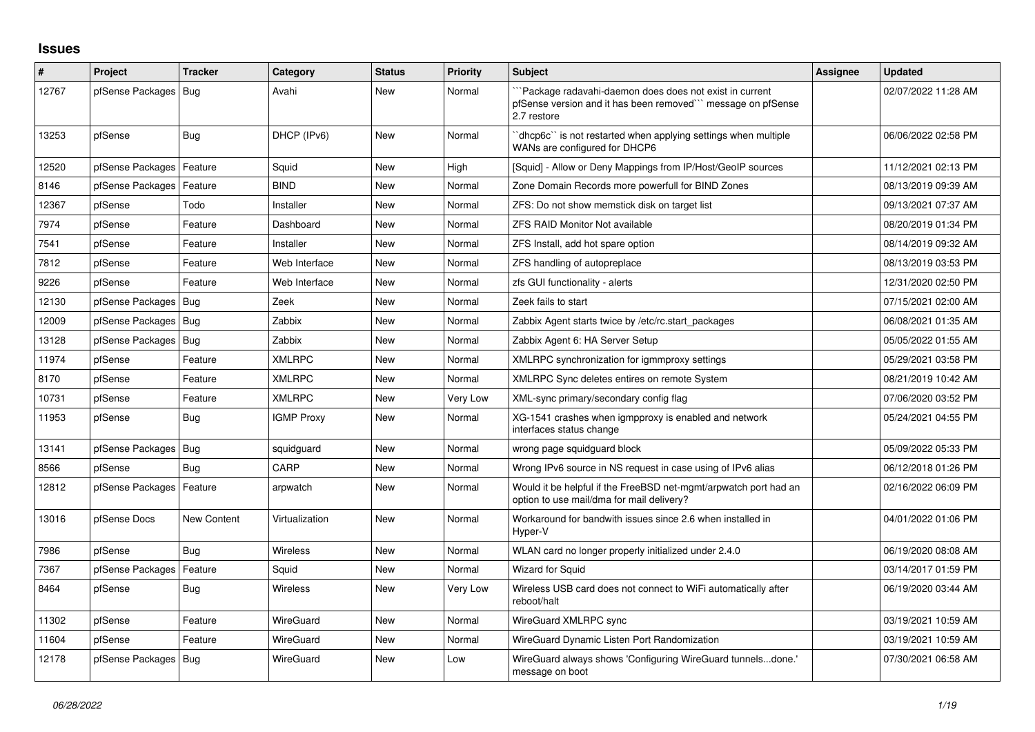## **Issues**

| #     | Project                    | <b>Tracker</b> | Category          | <b>Status</b> | <b>Priority</b> | <b>Subject</b>                                                                                                                       | <b>Assignee</b> | <b>Updated</b>      |
|-------|----------------------------|----------------|-------------------|---------------|-----------------|--------------------------------------------------------------------------------------------------------------------------------------|-----------------|---------------------|
| 12767 | pfSense Packages   Bug     |                | Avahi             | New           | Normal          | Package radavahi-daemon does does not exist in current<br>pfSense version and it has been removed" message on pfSense<br>2.7 restore |                 | 02/07/2022 11:28 AM |
| 13253 | pfSense                    | Bug            | DHCP (IPv6)       | <b>New</b>    | Normal          | 'dhcp6c'' is not restarted when applying settings when multiple<br>WANs are configured for DHCP6                                     |                 | 06/06/2022 02:58 PM |
| 12520 | pfSense Packages           | Feature        | Squid             | <b>New</b>    | High            | [Squid] - Allow or Deny Mappings from IP/Host/GeoIP sources                                                                          |                 | 11/12/2021 02:13 PM |
| 8146  | pfSense Packages           | Feature        | <b>BIND</b>       | <b>New</b>    | Normal          | Zone Domain Records more powerfull for BIND Zones                                                                                    |                 | 08/13/2019 09:39 AM |
| 12367 | pfSense                    | Todo           | Installer         | New           | Normal          | ZFS: Do not show memstick disk on target list                                                                                        |                 | 09/13/2021 07:37 AM |
| 7974  | pfSense                    | Feature        | Dashboard         | <b>New</b>    | Normal          | <b>ZFS RAID Monitor Not available</b>                                                                                                |                 | 08/20/2019 01:34 PM |
| 7541  | pfSense                    | Feature        | Installer         | <b>New</b>    | Normal          | ZFS Install, add hot spare option                                                                                                    |                 | 08/14/2019 09:32 AM |
| 7812  | pfSense                    | Feature        | Web Interface     | <b>New</b>    | Normal          | ZFS handling of autopreplace                                                                                                         |                 | 08/13/2019 03:53 PM |
| 9226  | pfSense                    | Feature        | Web Interface     | <b>New</b>    | Normal          | zfs GUI functionality - alerts                                                                                                       |                 | 12/31/2020 02:50 PM |
| 12130 | pfSense Packages   Bug     |                | Zeek              | <b>New</b>    | Normal          | Zeek fails to start                                                                                                                  |                 | 07/15/2021 02:00 AM |
| 12009 | pfSense Packages   Bug     |                | Zabbix            | <b>New</b>    | Normal          | Zabbix Agent starts twice by /etc/rc.start packages                                                                                  |                 | 06/08/2021 01:35 AM |
| 13128 | pfSense Packages           | Bug            | Zabbix            | <b>New</b>    | Normal          | Zabbix Agent 6: HA Server Setup                                                                                                      |                 | 05/05/2022 01:55 AM |
| 11974 | pfSense                    | Feature        | <b>XMLRPC</b>     | New           | Normal          | XMLRPC synchronization for igmmproxy settings                                                                                        |                 | 05/29/2021 03:58 PM |
| 8170  | pfSense                    | Feature        | <b>XMLRPC</b>     | <b>New</b>    | Normal          | XMLRPC Sync deletes entires on remote System                                                                                         |                 | 08/21/2019 10:42 AM |
| 10731 | pfSense                    | Feature        | <b>XMLRPC</b>     | <b>New</b>    | Very Low        | XML-sync primary/secondary config flag                                                                                               |                 | 07/06/2020 03:52 PM |
| 11953 | pfSense                    | Bug            | <b>IGMP Proxy</b> | <b>New</b>    | Normal          | XG-1541 crashes when igmpproxy is enabled and network<br>interfaces status change                                                    |                 | 05/24/2021 04:55 PM |
| 13141 | pfSense Packages   Bug     |                | squidguard        | <b>New</b>    | Normal          | wrong page squidguard block                                                                                                          |                 | 05/09/2022 05:33 PM |
| 8566  | pfSense                    | Bug            | CARP              | New           | Normal          | Wrong IPv6 source in NS request in case using of IPv6 alias                                                                          |                 | 06/12/2018 01:26 PM |
| 12812 | pfSense Packages   Feature |                | arpwatch          | New           | Normal          | Would it be helpful if the FreeBSD net-mgmt/arpwatch port had an<br>option to use mail/dma for mail delivery?                        |                 | 02/16/2022 06:09 PM |
| 13016 | pfSense Docs               | New Content    | Virtualization    | <b>New</b>    | Normal          | Workaround for bandwith issues since 2.6 when installed in<br>Hyper-V                                                                |                 | 04/01/2022 01:06 PM |
| 7986  | pfSense                    | Bug            | Wireless          | <b>New</b>    | Normal          | WLAN card no longer properly initialized under 2.4.0                                                                                 |                 | 06/19/2020 08:08 AM |
| 7367  | pfSense Packages           | Feature        | Squid             | <b>New</b>    | Normal          | <b>Wizard for Squid</b>                                                                                                              |                 | 03/14/2017 01:59 PM |
| 8464  | pfSense                    | Bug            | <b>Wireless</b>   | <b>New</b>    | Very Low        | Wireless USB card does not connect to WiFi automatically after<br>reboot/halt                                                        |                 | 06/19/2020 03:44 AM |
| 11302 | pfSense                    | Feature        | WireGuard         | <b>New</b>    | Normal          | WireGuard XMLRPC sync                                                                                                                |                 | 03/19/2021 10:59 AM |
| 11604 | pfSense                    | Feature        | WireGuard         | <b>New</b>    | Normal          | WireGuard Dynamic Listen Port Randomization                                                                                          |                 | 03/19/2021 10:59 AM |
| 12178 | pfSense Packages   Bug     |                | WireGuard         | <b>New</b>    | Low             | WireGuard always shows 'Configuring WireGuard tunnelsdone.'<br>message on boot                                                       |                 | 07/30/2021 06:58 AM |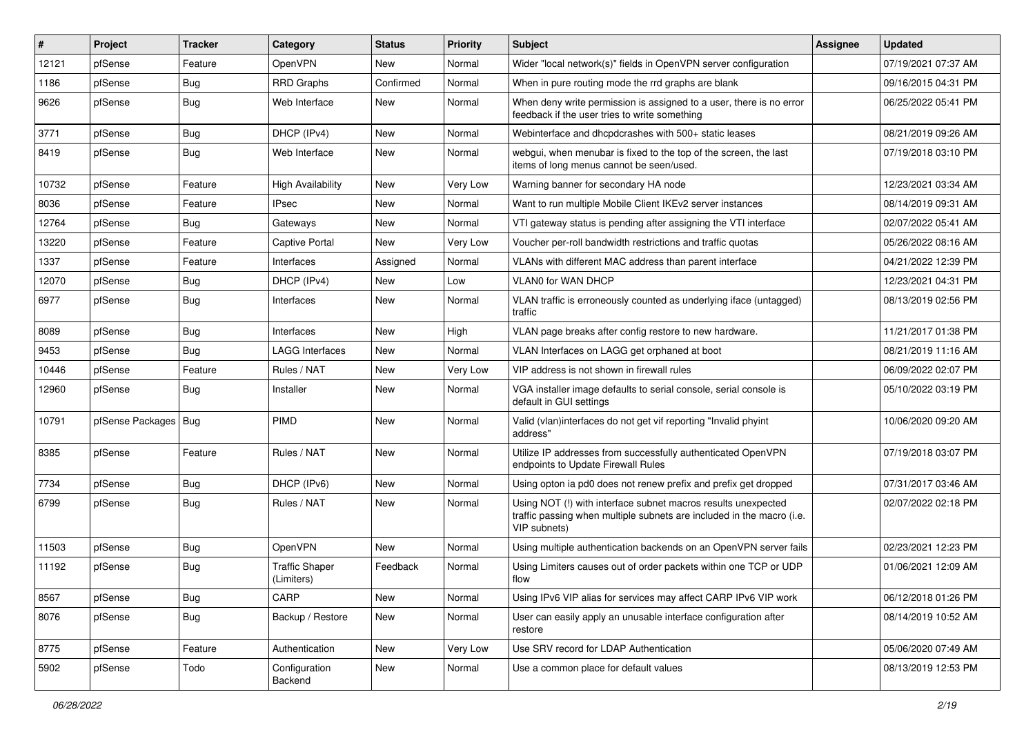| $\vert$ # | Project                | <b>Tracker</b> | Category                            | <b>Status</b> | <b>Priority</b> | Subject                                                                                                                                                | Assignee | <b>Updated</b>      |
|-----------|------------------------|----------------|-------------------------------------|---------------|-----------------|--------------------------------------------------------------------------------------------------------------------------------------------------------|----------|---------------------|
| 12121     | pfSense                | Feature        | OpenVPN                             | New           | Normal          | Wider "local network(s)" fields in OpenVPN server configuration                                                                                        |          | 07/19/2021 07:37 AM |
| 1186      | pfSense                | Bug            | <b>RRD Graphs</b>                   | Confirmed     | Normal          | When in pure routing mode the rrd graphs are blank                                                                                                     |          | 09/16/2015 04:31 PM |
| 9626      | pfSense                | Bug            | Web Interface                       | New           | Normal          | When deny write permission is assigned to a user, there is no error<br>feedback if the user tries to write something                                   |          | 06/25/2022 05:41 PM |
| 3771      | pfSense                | Bug            | DHCP (IPv4)                         | <b>New</b>    | Normal          | Webinterface and dhcpdcrashes with 500+ static leases                                                                                                  |          | 08/21/2019 09:26 AM |
| 8419      | pfSense                | Bug            | Web Interface                       | New           | Normal          | webgui, when menubar is fixed to the top of the screen, the last<br>items of long menus cannot be seen/used.                                           |          | 07/19/2018 03:10 PM |
| 10732     | pfSense                | Feature        | <b>High Availability</b>            | <b>New</b>    | Very Low        | Warning banner for secondary HA node                                                                                                                   |          | 12/23/2021 03:34 AM |
| 8036      | pfSense                | Feature        | IPsec                               | New           | Normal          | Want to run multiple Mobile Client IKEv2 server instances                                                                                              |          | 08/14/2019 09:31 AM |
| 12764     | pfSense                | Bug            | Gateways                            | New           | Normal          | VTI gateway status is pending after assigning the VTI interface                                                                                        |          | 02/07/2022 05:41 AM |
| 13220     | pfSense                | Feature        | Captive Portal                      | New           | Very Low        | Voucher per-roll bandwidth restrictions and traffic quotas                                                                                             |          | 05/26/2022 08:16 AM |
| 1337      | pfSense                | Feature        | Interfaces                          | Assigned      | Normal          | VLANs with different MAC address than parent interface                                                                                                 |          | 04/21/2022 12:39 PM |
| 12070     | pfSense                | Bug            | DHCP (IPv4)                         | New           | Low             | <b>VLAN0 for WAN DHCP</b>                                                                                                                              |          | 12/23/2021 04:31 PM |
| 6977      | pfSense                | Bug            | Interfaces                          | New           | Normal          | VLAN traffic is erroneously counted as underlying iface (untagged)<br>traffic                                                                          |          | 08/13/2019 02:56 PM |
| 8089      | pfSense                | <b>Bug</b>     | Interfaces                          | <b>New</b>    | High            | VLAN page breaks after config restore to new hardware.                                                                                                 |          | 11/21/2017 01:38 PM |
| 9453      | pfSense                | Bug            | <b>LAGG Interfaces</b>              | New           | Normal          | VLAN Interfaces on LAGG get orphaned at boot                                                                                                           |          | 08/21/2019 11:16 AM |
| 10446     | pfSense                | Feature        | Rules / NAT                         | <b>New</b>    | Very Low        | VIP address is not shown in firewall rules                                                                                                             |          | 06/09/2022 02:07 PM |
| 12960     | pfSense                | Bug            | Installer                           | New           | Normal          | VGA installer image defaults to serial console, serial console is<br>default in GUI settings                                                           |          | 05/10/2022 03:19 PM |
| 10791     | pfSense Packages   Bug |                | PIMD                                | <b>New</b>    | Normal          | Valid (vlan)interfaces do not get vif reporting "Invalid phyint<br>address"                                                                            |          | 10/06/2020 09:20 AM |
| 8385      | pfSense                | Feature        | Rules / NAT                         | New           | Normal          | Utilize IP addresses from successfully authenticated OpenVPN<br>endpoints to Update Firewall Rules                                                     |          | 07/19/2018 03:07 PM |
| 7734      | pfSense                | Bug            | DHCP (IPv6)                         | New           | Normal          | Using opton ia pd0 does not renew prefix and prefix get dropped                                                                                        |          | 07/31/2017 03:46 AM |
| 6799      | pfSense                | Bug            | Rules / NAT                         | New           | Normal          | Using NOT (!) with interface subnet macros results unexpected<br>traffic passing when multiple subnets are included in the macro (i.e.<br>VIP subnets) |          | 02/07/2022 02:18 PM |
| 11503     | pfSense                | <b>Bug</b>     | OpenVPN                             | New           | Normal          | Using multiple authentication backends on an OpenVPN server fails                                                                                      |          | 02/23/2021 12:23 PM |
| 11192     | pfSense                | <b>Bug</b>     | <b>Traffic Shaper</b><br>(Limiters) | Feedback      | Normal          | Using Limiters causes out of order packets within one TCP or UDP<br>flow                                                                               |          | 01/06/2021 12:09 AM |
| 8567      | pfSense                | Bug            | CARP                                | <b>New</b>    | Normal          | Using IPv6 VIP alias for services may affect CARP IPv6 VIP work                                                                                        |          | 06/12/2018 01:26 PM |
| 8076      | pfSense                | <b>Bug</b>     | Backup / Restore                    | New           | Normal          | User can easily apply an unusable interface configuration after<br>restore                                                                             |          | 08/14/2019 10:52 AM |
| 8775      | pfSense                | Feature        | Authentication                      | New           | Very Low        | Use SRV record for LDAP Authentication                                                                                                                 |          | 05/06/2020 07:49 AM |
| 5902      | pfSense                | Todo           | Configuration<br>Backend            | New           | Normal          | Use a common place for default values                                                                                                                  |          | 08/13/2019 12:53 PM |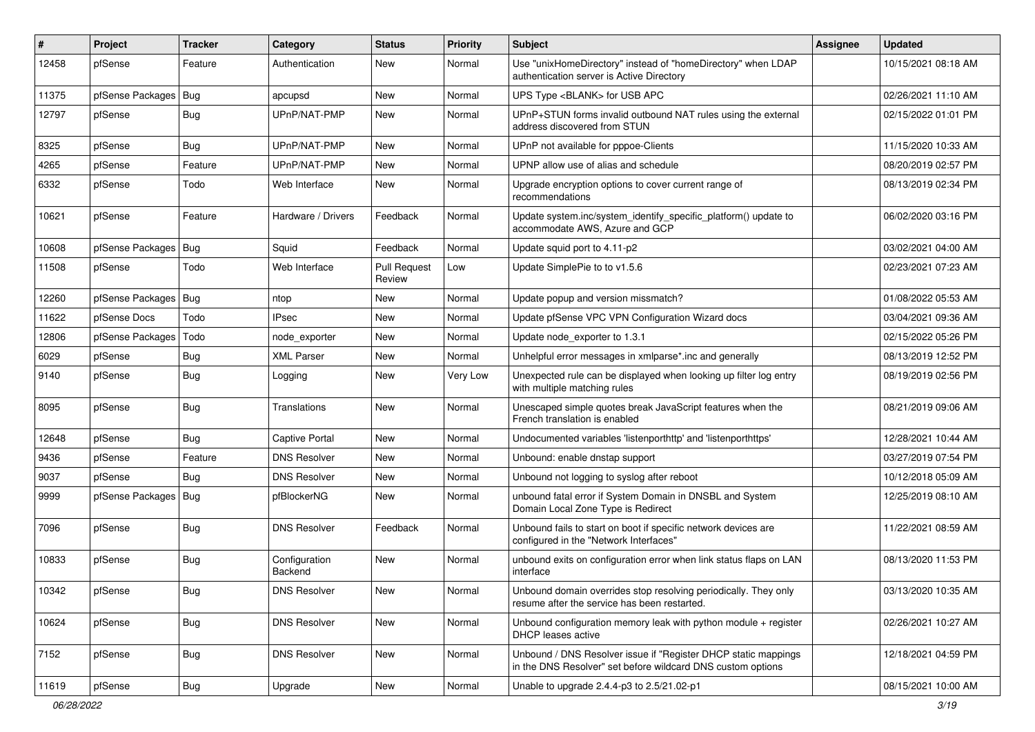| $\vert$ # | Project                | <b>Tracker</b> | Category                 | <b>Status</b>                 | <b>Priority</b> | Subject                                                                                                                       | <b>Assignee</b> | <b>Updated</b>      |
|-----------|------------------------|----------------|--------------------------|-------------------------------|-----------------|-------------------------------------------------------------------------------------------------------------------------------|-----------------|---------------------|
| 12458     | pfSense                | Feature        | Authentication           | New                           | Normal          | Use "unixHomeDirectory" instead of "homeDirectory" when LDAP<br>authentication server is Active Directory                     |                 | 10/15/2021 08:18 AM |
| 11375     | pfSense Packages       | Bug            | apcupsd                  | New                           | Normal          | UPS Type <blank> for USB APC</blank>                                                                                          |                 | 02/26/2021 11:10 AM |
| 12797     | pfSense                | Bug            | UPnP/NAT-PMP             | New                           | Normal          | UPnP+STUN forms invalid outbound NAT rules using the external<br>address discovered from STUN                                 |                 | 02/15/2022 01:01 PM |
| 8325      | pfSense                | Bug            | UPnP/NAT-PMP             | New                           | Normal          | UPnP not available for pppoe-Clients                                                                                          |                 | 11/15/2020 10:33 AM |
| 4265      | pfSense                | Feature        | UPnP/NAT-PMP             | New                           | Normal          | UPNP allow use of alias and schedule                                                                                          |                 | 08/20/2019 02:57 PM |
| 6332      | pfSense                | Todo           | Web Interface            | <b>New</b>                    | Normal          | Upgrade encryption options to cover current range of<br>recommendations                                                       |                 | 08/13/2019 02:34 PM |
| 10621     | pfSense                | Feature        | Hardware / Drivers       | Feedback                      | Normal          | Update system.inc/system_identify_specific_platform() update to<br>accommodate AWS, Azure and GCP                             |                 | 06/02/2020 03:16 PM |
| 10608     | pfSense Packages   Bug |                | Squid                    | Feedback                      | Normal          | Update squid port to 4.11-p2                                                                                                  |                 | 03/02/2021 04:00 AM |
| 11508     | pfSense                | Todo           | Web Interface            | <b>Pull Request</b><br>Review | Low             | Update SimplePie to to v1.5.6                                                                                                 |                 | 02/23/2021 07:23 AM |
| 12260     | pfSense Packages   Bug |                | ntop                     | <b>New</b>                    | Normal          | Update popup and version missmatch?                                                                                           |                 | 01/08/2022 05:53 AM |
| 11622     | pfSense Docs           | Todo           | <b>IPsec</b>             | <b>New</b>                    | Normal          | Update pfSense VPC VPN Configuration Wizard docs                                                                              |                 | 03/04/2021 09:36 AM |
| 12806     | pfSense Packages       | Todo           | node_exporter            | <b>New</b>                    | Normal          | Update node exporter to 1.3.1                                                                                                 |                 | 02/15/2022 05:26 PM |
| 6029      | pfSense                | Bug            | <b>XML Parser</b>        | New                           | Normal          | Unhelpful error messages in xmlparse*.inc and generally                                                                       |                 | 08/13/2019 12:52 PM |
| 9140      | pfSense                | <b>Bug</b>     | Logging                  | <b>New</b>                    | Very Low        | Unexpected rule can be displayed when looking up filter log entry<br>with multiple matching rules                             |                 | 08/19/2019 02:56 PM |
| 8095      | pfSense                | <b>Bug</b>     | Translations             | <b>New</b>                    | Normal          | Unescaped simple quotes break JavaScript features when the<br>French translation is enabled                                   |                 | 08/21/2019 09:06 AM |
| 12648     | pfSense                | <b>Bug</b>     | <b>Captive Portal</b>    | <b>New</b>                    | Normal          | Undocumented variables 'listenporthttp' and 'listenporthttps'                                                                 |                 | 12/28/2021 10:44 AM |
| 9436      | pfSense                | Feature        | <b>DNS Resolver</b>      | <b>New</b>                    | Normal          | Unbound: enable dnstap support                                                                                                |                 | 03/27/2019 07:54 PM |
| 9037      | pfSense                | Bug            | <b>DNS Resolver</b>      | <b>New</b>                    | Normal          | Unbound not logging to syslog after reboot                                                                                    |                 | 10/12/2018 05:09 AM |
| 9999      | pfSense Packages   Bug |                | pfBlockerNG              | New                           | Normal          | unbound fatal error if System Domain in DNSBL and System<br>Domain Local Zone Type is Redirect                                |                 | 12/25/2019 08:10 AM |
| 7096      | pfSense                | <b>Bug</b>     | <b>DNS Resolver</b>      | Feedback                      | Normal          | Unbound fails to start on boot if specific network devices are<br>configured in the "Network Interfaces"                      |                 | 11/22/2021 08:59 AM |
| 10833     | pfSense                | <b>Bug</b>     | Configuration<br>Backend | New                           | Normal          | unbound exits on configuration error when link status flaps on LAN<br>interface                                               |                 | 08/13/2020 11:53 PM |
| 10342     | pfSense                | <b>Bug</b>     | <b>DNS Resolver</b>      | New                           | Normal          | Unbound domain overrides stop resolving periodically. They only<br>resume after the service has been restarted.               |                 | 03/13/2020 10:35 AM |
| 10624     | pfSense                | <b>Bug</b>     | <b>DNS Resolver</b>      | New                           | Normal          | Unbound configuration memory leak with python module + register<br>DHCP leases active                                         |                 | 02/26/2021 10:27 AM |
| 7152      | pfSense                | <b>Bug</b>     | <b>DNS Resolver</b>      | New                           | Normal          | Unbound / DNS Resolver issue if "Register DHCP static mappings<br>in the DNS Resolver" set before wildcard DNS custom options |                 | 12/18/2021 04:59 PM |
| 11619     | pfSense                | <b>Bug</b>     | Upgrade                  | New                           | Normal          | Unable to upgrade 2.4.4-p3 to 2.5/21.02-p1                                                                                    |                 | 08/15/2021 10:00 AM |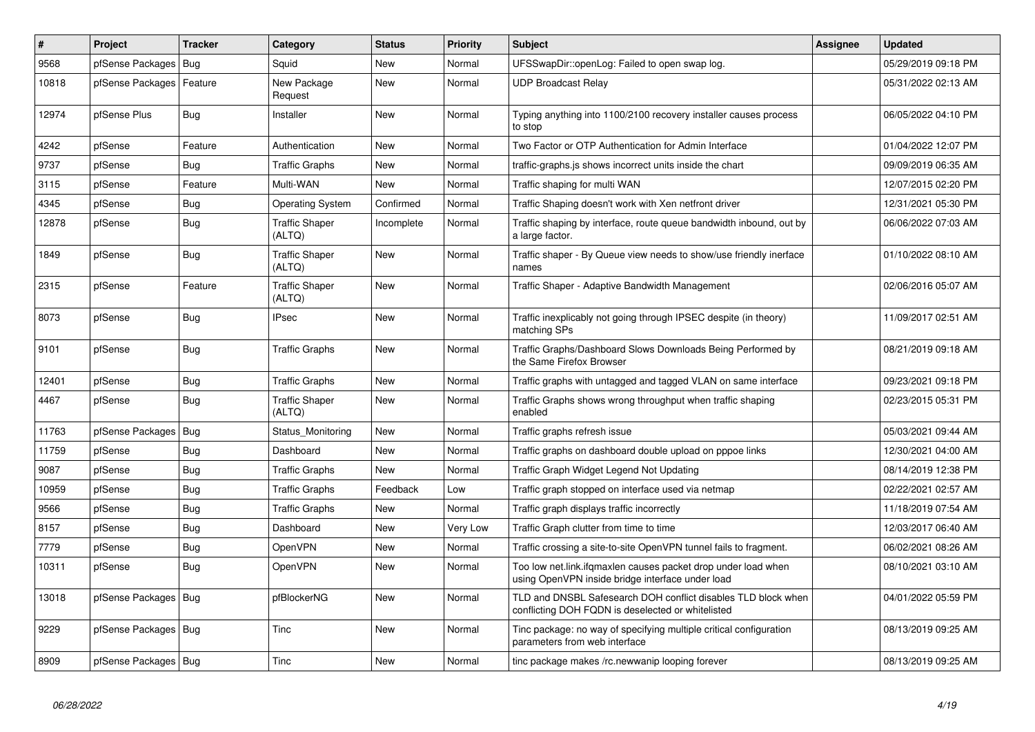| #     | <b>Project</b>         | <b>Tracker</b> | Category                        | <b>Status</b> | Priority | <b>Subject</b>                                                                                                      | Assignee | <b>Updated</b>      |
|-------|------------------------|----------------|---------------------------------|---------------|----------|---------------------------------------------------------------------------------------------------------------------|----------|---------------------|
| 9568  | pfSense Packages       | Bug            | Squid                           | <b>New</b>    | Normal   | UFSSwapDir::openLog: Failed to open swap log.                                                                       |          | 05/29/2019 09:18 PM |
| 10818 | pfSense Packages       | Feature        | New Package<br>Request          | New           | Normal   | <b>UDP Broadcast Relay</b>                                                                                          |          | 05/31/2022 02:13 AM |
| 12974 | pfSense Plus           | <b>Bug</b>     | Installer                       | <b>New</b>    | Normal   | Typing anything into 1100/2100 recovery installer causes process<br>to stop                                         |          | 06/05/2022 04:10 PM |
| 4242  | pfSense                | Feature        | Authentication                  | <b>New</b>    | Normal   | Two Factor or OTP Authentication for Admin Interface                                                                |          | 01/04/2022 12:07 PM |
| 9737  | pfSense                | <b>Bug</b>     | <b>Traffic Graphs</b>           | <b>New</b>    | Normal   | traffic-graphs.js shows incorrect units inside the chart                                                            |          | 09/09/2019 06:35 AM |
| 3115  | pfSense                | Feature        | Multi-WAN                       | <b>New</b>    | Normal   | Traffic shaping for multi WAN                                                                                       |          | 12/07/2015 02:20 PM |
| 4345  | pfSense                | Bug            | <b>Operating System</b>         | Confirmed     | Normal   | Traffic Shaping doesn't work with Xen netfront driver                                                               |          | 12/31/2021 05:30 PM |
| 12878 | pfSense                | Bug            | <b>Traffic Shaper</b><br>(ALTQ) | Incomplete    | Normal   | Traffic shaping by interface, route queue bandwidth inbound, out by<br>a large factor.                              |          | 06/06/2022 07:03 AM |
| 1849  | pfSense                | <b>Bug</b>     | <b>Traffic Shaper</b><br>(ALTQ) | New           | Normal   | Traffic shaper - By Queue view needs to show/use friendly inerface<br>names                                         |          | 01/10/2022 08:10 AM |
| 2315  | pfSense                | Feature        | <b>Traffic Shaper</b><br>(ALTQ) | <b>New</b>    | Normal   | Traffic Shaper - Adaptive Bandwidth Management                                                                      |          | 02/06/2016 05:07 AM |
| 8073  | pfSense                | <b>Bug</b>     | <b>IPsec</b>                    | <b>New</b>    | Normal   | Traffic inexplicably not going through IPSEC despite (in theory)<br>matching SPs                                    |          | 11/09/2017 02:51 AM |
| 9101  | pfSense                | <b>Bug</b>     | <b>Traffic Graphs</b>           | <b>New</b>    | Normal   | Traffic Graphs/Dashboard Slows Downloads Being Performed by<br>the Same Firefox Browser                             |          | 08/21/2019 09:18 AM |
| 12401 | pfSense                | <b>Bug</b>     | <b>Traffic Graphs</b>           | <b>New</b>    | Normal   | Traffic graphs with untagged and tagged VLAN on same interface                                                      |          | 09/23/2021 09:18 PM |
| 4467  | pfSense                | <b>Bug</b>     | <b>Traffic Shaper</b><br>(ALTQ) | <b>New</b>    | Normal   | Traffic Graphs shows wrong throughput when traffic shaping<br>enabled                                               |          | 02/23/2015 05:31 PM |
| 11763 | pfSense Packages       | <b>Bug</b>     | Status_Monitoring               | <b>New</b>    | Normal   | Traffic graphs refresh issue                                                                                        |          | 05/03/2021 09:44 AM |
| 11759 | pfSense                | <b>Bug</b>     | Dashboard                       | <b>New</b>    | Normal   | Traffic graphs on dashboard double upload on pppoe links                                                            |          | 12/30/2021 04:00 AM |
| 9087  | pfSense                | <b>Bug</b>     | <b>Traffic Graphs</b>           | <b>New</b>    | Normal   | Traffic Graph Widget Legend Not Updating                                                                            |          | 08/14/2019 12:38 PM |
| 10959 | pfSense                | <b>Bug</b>     | <b>Traffic Graphs</b>           | Feedback      | Low      | Traffic graph stopped on interface used via netmap                                                                  |          | 02/22/2021 02:57 AM |
| 9566  | pfSense                | <b>Bug</b>     | <b>Traffic Graphs</b>           | <b>New</b>    | Normal   | Traffic graph displays traffic incorrectly                                                                          |          | 11/18/2019 07:54 AM |
| 8157  | pfSense                | <b>Bug</b>     | Dashboard                       | <b>New</b>    | Very Low | Traffic Graph clutter from time to time                                                                             |          | 12/03/2017 06:40 AM |
| 7779  | pfSense                | <b>Bug</b>     | OpenVPN                         | <b>New</b>    | Normal   | Traffic crossing a site-to-site OpenVPN tunnel fails to fragment.                                                   |          | 06/02/2021 08:26 AM |
| 10311 | pfSense                | Bug            | OpenVPN                         | <b>New</b>    | Normal   | Too low net.link.ifgmaxlen causes packet drop under load when<br>using OpenVPN inside bridge interface under load   |          | 08/10/2021 03:10 AM |
| 13018 | pfSense Packages   Bug |                | pfBlockerNG                     | <b>New</b>    | Normal   | TLD and DNSBL Safesearch DOH conflict disables TLD block when<br>conflicting DOH FQDN is deselected or white listed |          | 04/01/2022 05:59 PM |
| 9229  | pfSense Packages   Bug |                | Tinc                            | <b>New</b>    | Normal   | Tinc package: no way of specifying multiple critical configuration<br>parameters from web interface                 |          | 08/13/2019 09:25 AM |
| 8909  | pfSense Packages   Bug |                | Tinc                            | <b>New</b>    | Normal   | tinc package makes /rc.newwanip looping forever                                                                     |          | 08/13/2019 09:25 AM |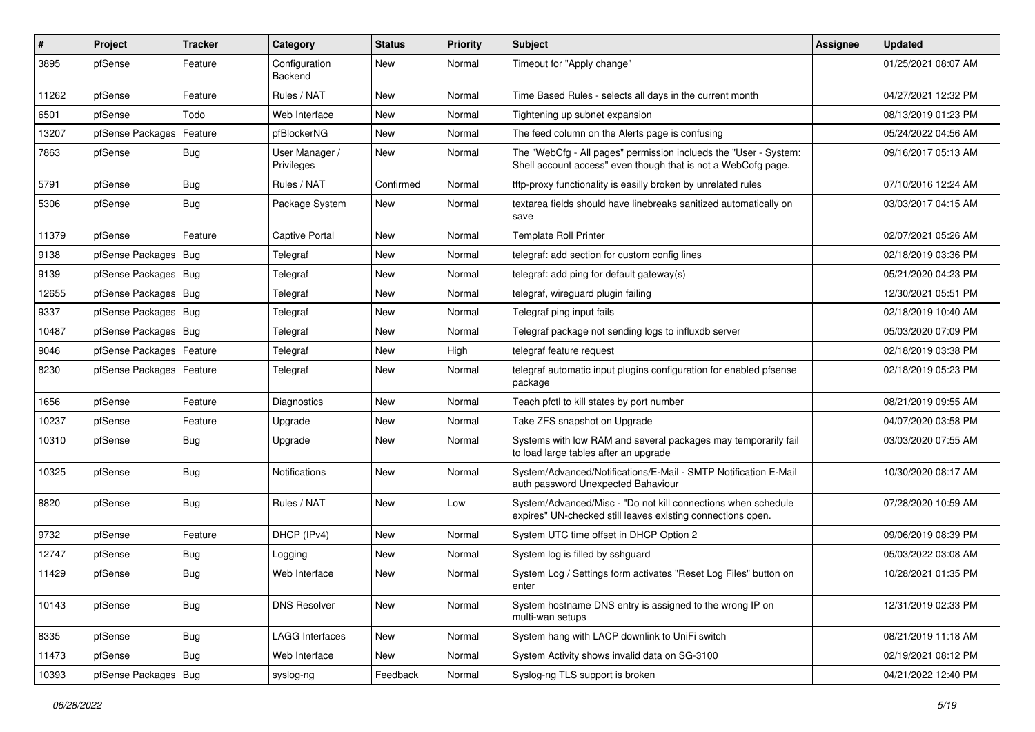| $\sharp$ | <b>Project</b>             | <b>Tracker</b> | Category                     | <b>Status</b> | <b>Priority</b> | <b>Subject</b>                                                                                                                    | <b>Assignee</b> | <b>Updated</b>      |
|----------|----------------------------|----------------|------------------------------|---------------|-----------------|-----------------------------------------------------------------------------------------------------------------------------------|-----------------|---------------------|
| 3895     | pfSense                    | Feature        | Configuration<br>Backend     | New           | Normal          | Timeout for "Apply change"                                                                                                        |                 | 01/25/2021 08:07 AM |
| 11262    | pfSense                    | Feature        | Rules / NAT                  | New           | Normal          | Time Based Rules - selects all days in the current month                                                                          |                 | 04/27/2021 12:32 PM |
| 6501     | pfSense                    | Todo           | Web Interface                | New           | Normal          | Tightening up subnet expansion                                                                                                    |                 | 08/13/2019 01:23 PM |
| 13207    | pfSense Packages           | Feature        | pfBlockerNG                  | New           | Normal          | The feed column on the Alerts page is confusing                                                                                   |                 | 05/24/2022 04:56 AM |
| 7863     | pfSense                    | Bug            | User Manager /<br>Privileges | New           | Normal          | The "WebCfg - All pages" permission inclueds the "User - System:<br>Shell account access" even though that is not a WebCofg page. |                 | 09/16/2017 05:13 AM |
| 5791     | pfSense                    | <b>Bug</b>     | Rules / NAT                  | Confirmed     | Normal          | tftp-proxy functionality is easilly broken by unrelated rules                                                                     |                 | 07/10/2016 12:24 AM |
| 5306     | pfSense                    | <b>Bug</b>     | Package System               | New           | Normal          | textarea fields should have linebreaks sanitized automatically on<br>save                                                         |                 | 03/03/2017 04:15 AM |
| 11379    | pfSense                    | Feature        | Captive Portal               | New           | Normal          | <b>Template Roll Printer</b>                                                                                                      |                 | 02/07/2021 05:26 AM |
| 9138     | pfSense Packages   Bug     |                | Telegraf                     | New           | Normal          | telegraf: add section for custom config lines                                                                                     |                 | 02/18/2019 03:36 PM |
| 9139     | pfSense Packages Bug       |                | Telegraf                     | New           | Normal          | telegraf: add ping for default gateway(s)                                                                                         |                 | 05/21/2020 04:23 PM |
| 12655    | pfSense Packages   Bug     |                | Telegraf                     | New           | Normal          | telegraf, wireguard plugin failing                                                                                                |                 | 12/30/2021 05:51 PM |
| 9337     | pfSense Packages   Bug     |                | Telegraf                     | New           | Normal          | Telegraf ping input fails                                                                                                         |                 | 02/18/2019 10:40 AM |
| 10487    | pfSense Packages   Bug     |                | Telegraf                     | New           | Normal          | Telegraf package not sending logs to influxdb server                                                                              |                 | 05/03/2020 07:09 PM |
| 9046     | pfSense Packages   Feature |                | Telegraf                     | <b>New</b>    | High            | telegraf feature request                                                                                                          |                 | 02/18/2019 03:38 PM |
| 8230     | pfSense Packages   Feature |                | Telegraf                     | New           | Normal          | telegraf automatic input plugins configuration for enabled pfsense<br>package                                                     |                 | 02/18/2019 05:23 PM |
| 1656     | pfSense                    | Feature        | Diagnostics                  | New           | Normal          | Teach pfctl to kill states by port number                                                                                         |                 | 08/21/2019 09:55 AM |
| 10237    | pfSense                    | Feature        | Upgrade                      | New           | Normal          | Take ZFS snapshot on Upgrade                                                                                                      |                 | 04/07/2020 03:58 PM |
| 10310    | pfSense                    | Bug            | Upgrade                      | New           | Normal          | Systems with low RAM and several packages may temporarily fail<br>to load large tables after an upgrade                           |                 | 03/03/2020 07:55 AM |
| 10325    | pfSense                    | <b>Bug</b>     | <b>Notifications</b>         | New           | Normal          | System/Advanced/Notifications/E-Mail - SMTP Notification E-Mail<br>auth password Unexpected Bahaviour                             |                 | 10/30/2020 08:17 AM |
| 8820     | pfSense                    | <b>Bug</b>     | Rules / NAT                  | New           | Low             | System/Advanced/Misc - "Do not kill connections when schedule<br>expires" UN-checked still leaves existing connections open.      |                 | 07/28/2020 10:59 AM |
| 9732     | pfSense                    | Feature        | DHCP (IPv4)                  | New           | Normal          | System UTC time offset in DHCP Option 2                                                                                           |                 | 09/06/2019 08:39 PM |
| 12747    | pfSense                    | Bug            | Logging                      | New           | Normal          | System log is filled by sshguard                                                                                                  |                 | 05/03/2022 03:08 AM |
| 11429    | pfSense                    | Bug            | Web Interface                | New           | Normal          | System Log / Settings form activates "Reset Log Files" button on<br>enter                                                         |                 | 10/28/2021 01:35 PM |
| 10143    | pfSense                    | Bug            | <b>DNS Resolver</b>          | New           | Normal          | System hostname DNS entry is assigned to the wrong IP on<br>multi-wan setups                                                      |                 | 12/31/2019 02:33 PM |
| 8335     | pfSense                    | Bug            | <b>LAGG Interfaces</b>       | New           | Normal          | System hang with LACP downlink to UniFi switch                                                                                    |                 | 08/21/2019 11:18 AM |
| 11473    | pfSense                    | Bug            | Web Interface                | New           | Normal          | System Activity shows invalid data on SG-3100                                                                                     |                 | 02/19/2021 08:12 PM |
| 10393    | pfSense Packages           | Bug            | syslog-ng                    | Feedback      | Normal          | Syslog-ng TLS support is broken                                                                                                   |                 | 04/21/2022 12:40 PM |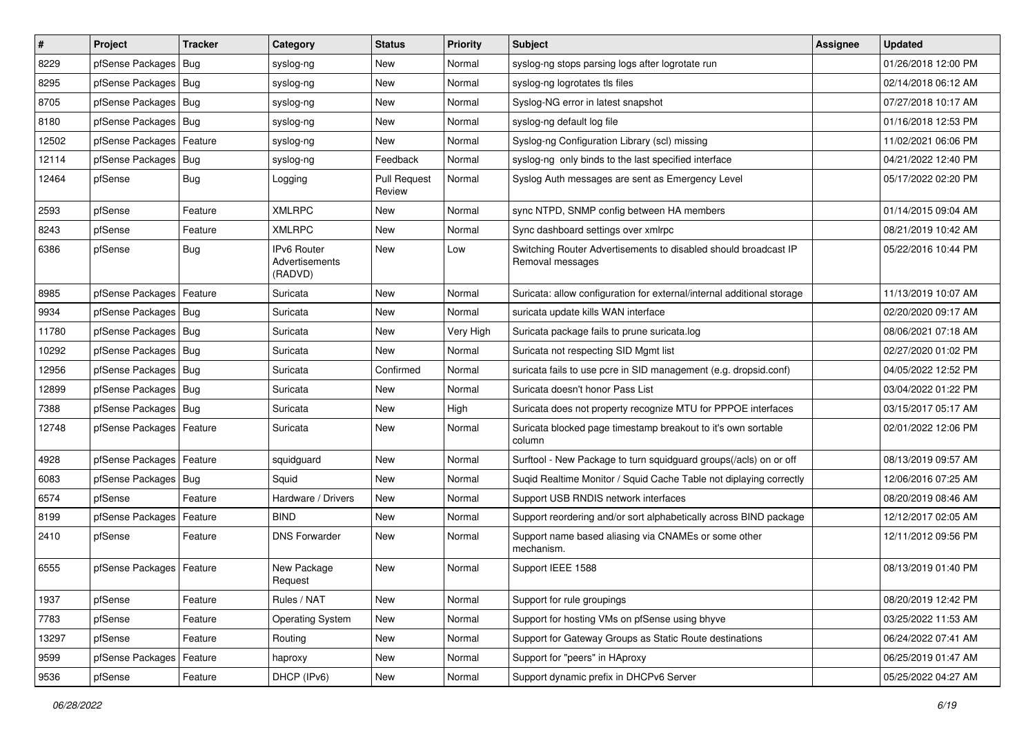| $\vert$ # | Project                    | <b>Tracker</b> | Category                                 | <b>Status</b>                 | <b>Priority</b> | Subject                                                                             | <b>Assignee</b> | <b>Updated</b>      |
|-----------|----------------------------|----------------|------------------------------------------|-------------------------------|-----------------|-------------------------------------------------------------------------------------|-----------------|---------------------|
| 8229      | pfSense Packages           | Bug            | syslog-ng                                | New                           | Normal          | syslog-ng stops parsing logs after logrotate run                                    |                 | 01/26/2018 12:00 PM |
| 8295      | pfSense Packages   Bug     |                | syslog-ng                                | New                           | Normal          | syslog-ng logrotates tls files                                                      |                 | 02/14/2018 06:12 AM |
| 8705      | pfSense Packages   Bug     |                | syslog-ng                                | New                           | Normal          | Syslog-NG error in latest snapshot                                                  |                 | 07/27/2018 10:17 AM |
| 8180      | pfSense Packages   Bug     |                | syslog-ng                                | <b>New</b>                    | Normal          | syslog-ng default log file                                                          |                 | 01/16/2018 12:53 PM |
| 12502     | pfSense Packages           | Feature        | syslog-ng                                | New                           | Normal          | Syslog-ng Configuration Library (scl) missing                                       |                 | 11/02/2021 06:06 PM |
| 12114     | pfSense Packages   Bug     |                | syslog-ng                                | Feedback                      | Normal          | syslog-ng only binds to the last specified interface                                |                 | 04/21/2022 12:40 PM |
| 12464     | pfSense                    | Bug            | Logging                                  | <b>Pull Request</b><br>Review | Normal          | Syslog Auth messages are sent as Emergency Level                                    |                 | 05/17/2022 02:20 PM |
| 2593      | pfSense                    | Feature        | <b>XMLRPC</b>                            | New                           | Normal          | sync NTPD, SNMP config between HA members                                           |                 | 01/14/2015 09:04 AM |
| 8243      | pfSense                    | Feature        | <b>XMLRPC</b>                            | <b>New</b>                    | Normal          | Sync dashboard settings over xmlrpc                                                 |                 | 08/21/2019 10:42 AM |
| 6386      | pfSense                    | Bug            | IPv6 Router<br>Advertisements<br>(RADVD) | New                           | Low             | Switching Router Advertisements to disabled should broadcast IP<br>Removal messages |                 | 05/22/2016 10:44 PM |
| 8985      | pfSense Packages           | Feature        | Suricata                                 | <b>New</b>                    | Normal          | Suricata: allow configuration for external/internal additional storage              |                 | 11/13/2019 10:07 AM |
| 9934      | pfSense Packages   Bug     |                | Suricata                                 | New                           | Normal          | suricata update kills WAN interface                                                 |                 | 02/20/2020 09:17 AM |
| 11780     | pfSense Packages           | Bug            | Suricata                                 | New                           | Very High       | Suricata package fails to prune suricata.log                                        |                 | 08/06/2021 07:18 AM |
| 10292     | pfSense Packages   Bug     |                | Suricata                                 | New                           | Normal          | Suricata not respecting SID Mgmt list                                               |                 | 02/27/2020 01:02 PM |
| 12956     | pfSense Packages   Bug     |                | Suricata                                 | Confirmed                     | Normal          | suricata fails to use pcre in SID management (e.g. dropsid.conf)                    |                 | 04/05/2022 12:52 PM |
| 12899     | pfSense Packages   Bug     |                | Suricata                                 | New                           | Normal          | Suricata doesn't honor Pass List                                                    |                 | 03/04/2022 01:22 PM |
| 7388      | pfSense Packages   Bug     |                | Suricata                                 | <b>New</b>                    | High            | Suricata does not property recognize MTU for PPPOE interfaces                       |                 | 03/15/2017 05:17 AM |
| 12748     | pfSense Packages   Feature |                | Suricata                                 | <b>New</b>                    | Normal          | Suricata blocked page timestamp breakout to it's own sortable<br>column             |                 | 02/01/2022 12:06 PM |
| 4928      | pfSense Packages   Feature |                | squidguard                               | New                           | Normal          | Surftool - New Package to turn squidguard groups(/acls) on or off                   |                 | 08/13/2019 09:57 AM |
| 6083      | pfSense Packages           | Bug            | Squid                                    | <b>New</b>                    | Normal          | Sugid Realtime Monitor / Squid Cache Table not diplaying correctly                  |                 | 12/06/2016 07:25 AM |
| 6574      | pfSense                    | Feature        | Hardware / Drivers                       | New                           | Normal          | Support USB RNDIS network interfaces                                                |                 | 08/20/2019 08:46 AM |
| 8199      | pfSense Packages           | Feature        | <b>BIND</b>                              | New                           | Normal          | Support reordering and/or sort alphabetically across BIND package                   |                 | 12/12/2017 02:05 AM |
| 2410      | pfSense                    | Feature        | <b>DNS Forwarder</b>                     | New                           | Normal          | Support name based aliasing via CNAMEs or some other<br>mechanism.                  |                 | 12/11/2012 09:56 PM |
| 6555      | pfSense Packages   Feature |                | New Package<br>Request                   | New                           | Normal          | Support IEEE 1588                                                                   |                 | 08/13/2019 01:40 PM |
| 1937      | pfSense                    | Feature        | Rules / NAT                              | New                           | Normal          | Support for rule groupings                                                          |                 | 08/20/2019 12:42 PM |
| 7783      | pfSense                    | Feature        | <b>Operating System</b>                  | New                           | Normal          | Support for hosting VMs on pfSense using bhyve                                      |                 | 03/25/2022 11:53 AM |
| 13297     | pfSense                    | Feature        | Routing                                  | New                           | Normal          | Support for Gateway Groups as Static Route destinations                             |                 | 06/24/2022 07:41 AM |
| 9599      | pfSense Packages           | Feature        | haproxy                                  | New                           | Normal          | Support for "peers" in HAproxy                                                      |                 | 06/25/2019 01:47 AM |
| 9536      | pfSense                    | Feature        | DHCP (IPv6)                              | New                           | Normal          | Support dynamic prefix in DHCPv6 Server                                             |                 | 05/25/2022 04:27 AM |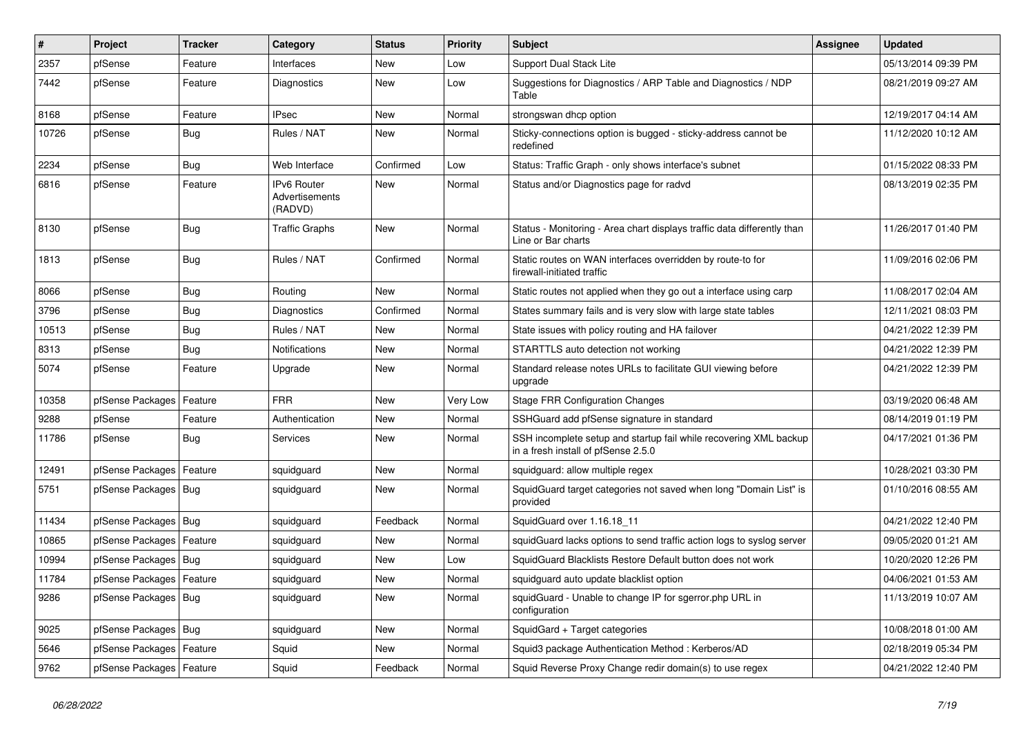| $\vert$ # | Project                    | <b>Tracker</b> | Category                                 | <b>Status</b> | <b>Priority</b> | Subject                                                                                                  | <b>Assignee</b> | Updated             |
|-----------|----------------------------|----------------|------------------------------------------|---------------|-----------------|----------------------------------------------------------------------------------------------------------|-----------------|---------------------|
| 2357      | pfSense                    | Feature        | Interfaces                               | New           | Low             | Support Dual Stack Lite                                                                                  |                 | 05/13/2014 09:39 PM |
| 7442      | pfSense                    | Feature        | Diagnostics                              | New           | Low             | Suggestions for Diagnostics / ARP Table and Diagnostics / NDP<br>Table                                   |                 | 08/21/2019 09:27 AM |
| 8168      | pfSense                    | Feature        | <b>IPsec</b>                             | <b>New</b>    | Normal          | strongswan dhcp option                                                                                   |                 | 12/19/2017 04:14 AM |
| 10726     | pfSense                    | <b>Bug</b>     | Rules / NAT                              | New           | Normal          | Sticky-connections option is bugged - sticky-address cannot be<br>redefined                              |                 | 11/12/2020 10:12 AM |
| 2234      | pfSense                    | <b>Bug</b>     | Web Interface                            | Confirmed     | Low             | Status: Traffic Graph - only shows interface's subnet                                                    |                 | 01/15/2022 08:33 PM |
| 6816      | pfSense                    | Feature        | IPv6 Router<br>Advertisements<br>(RADVD) | New           | Normal          | Status and/or Diagnostics page for radvd                                                                 |                 | 08/13/2019 02:35 PM |
| 8130      | pfSense                    | <b>Bug</b>     | <b>Traffic Graphs</b>                    | <b>New</b>    | Normal          | Status - Monitoring - Area chart displays traffic data differently than<br>Line or Bar charts            |                 | 11/26/2017 01:40 PM |
| 1813      | pfSense                    | <b>Bug</b>     | Rules / NAT                              | Confirmed     | Normal          | Static routes on WAN interfaces overridden by route-to for<br>firewall-initiated traffic                 |                 | 11/09/2016 02:06 PM |
| 8066      | pfSense                    | <b>Bug</b>     | Routing                                  | <b>New</b>    | Normal          | Static routes not applied when they go out a interface using carp                                        |                 | 11/08/2017 02:04 AM |
| 3796      | pfSense                    | <b>Bug</b>     | Diagnostics                              | Confirmed     | Normal          | States summary fails and is very slow with large state tables                                            |                 | 12/11/2021 08:03 PM |
| 10513     | pfSense                    | <b>Bug</b>     | Rules / NAT                              | <b>New</b>    | Normal          | State issues with policy routing and HA failover                                                         |                 | 04/21/2022 12:39 PM |
| 8313      | pfSense                    | <b>Bug</b>     | <b>Notifications</b>                     | New           | Normal          | STARTTLS auto detection not working                                                                      |                 | 04/21/2022 12:39 PM |
| 5074      | pfSense                    | Feature        | Upgrade                                  | New           | Normal          | Standard release notes URLs to facilitate GUI viewing before<br>upgrade                                  |                 | 04/21/2022 12:39 PM |
| 10358     | pfSense Packages           | Feature        | <b>FRR</b>                               | <b>New</b>    | Very Low        | <b>Stage FRR Configuration Changes</b>                                                                   |                 | 03/19/2020 06:48 AM |
| 9288      | pfSense                    | Feature        | Authentication                           | New           | Normal          | SSHGuard add pfSense signature in standard                                                               |                 | 08/14/2019 01:19 PM |
| 11786     | pfSense                    | <b>Bug</b>     | Services                                 | New           | Normal          | SSH incomplete setup and startup fail while recovering XML backup<br>in a fresh install of pfSense 2.5.0 |                 | 04/17/2021 01:36 PM |
| 12491     | pfSense Packages           | Feature        | squidguard                               | <b>New</b>    | Normal          | squidguard: allow multiple regex                                                                         |                 | 10/28/2021 03:30 PM |
| 5751      | pfSense Packages   Bug     |                | squidguard                               | New           | Normal          | SquidGuard target categories not saved when long "Domain List" is<br>provided                            |                 | 01/10/2016 08:55 AM |
| 11434     | pfSense Packages   Bug     |                | squidguard                               | Feedback      | Normal          | SquidGuard over 1.16.18 11                                                                               |                 | 04/21/2022 12:40 PM |
| 10865     | pfSense Packages   Feature |                | squidguard                               | <b>New</b>    | Normal          | squidGuard lacks options to send traffic action logs to syslog server                                    |                 | 09/05/2020 01:21 AM |
| 10994     | pfSense Packages   Bug     |                | squidguard                               | New           | Low             | SquidGuard Blacklists Restore Default button does not work                                               |                 | 10/20/2020 12:26 PM |
| 11784     | pfSense Packages   Feature |                | squidguard                               | <b>New</b>    | Normal          | squidguard auto update blacklist option                                                                  |                 | 04/06/2021 01:53 AM |
| 9286      | pfSense Packages   Bug     |                | squidguard                               | New           | Normal          | squidGuard - Unable to change IP for sgerror.php URL in<br>configuration                                 |                 | 11/13/2019 10:07 AM |
| 9025      | pfSense Packages   Bug     |                | squidguard                               | New           | Normal          | SquidGard + Target categories                                                                            |                 | 10/08/2018 01:00 AM |
| 5646      | pfSense Packages           | Feature        | Squid                                    | New           | Normal          | Squid3 package Authentication Method: Kerberos/AD                                                        |                 | 02/18/2019 05:34 PM |
| 9762      | pfSense Packages   Feature |                | Squid                                    | Feedback      | Normal          | Squid Reverse Proxy Change redir domain(s) to use regex                                                  |                 | 04/21/2022 12:40 PM |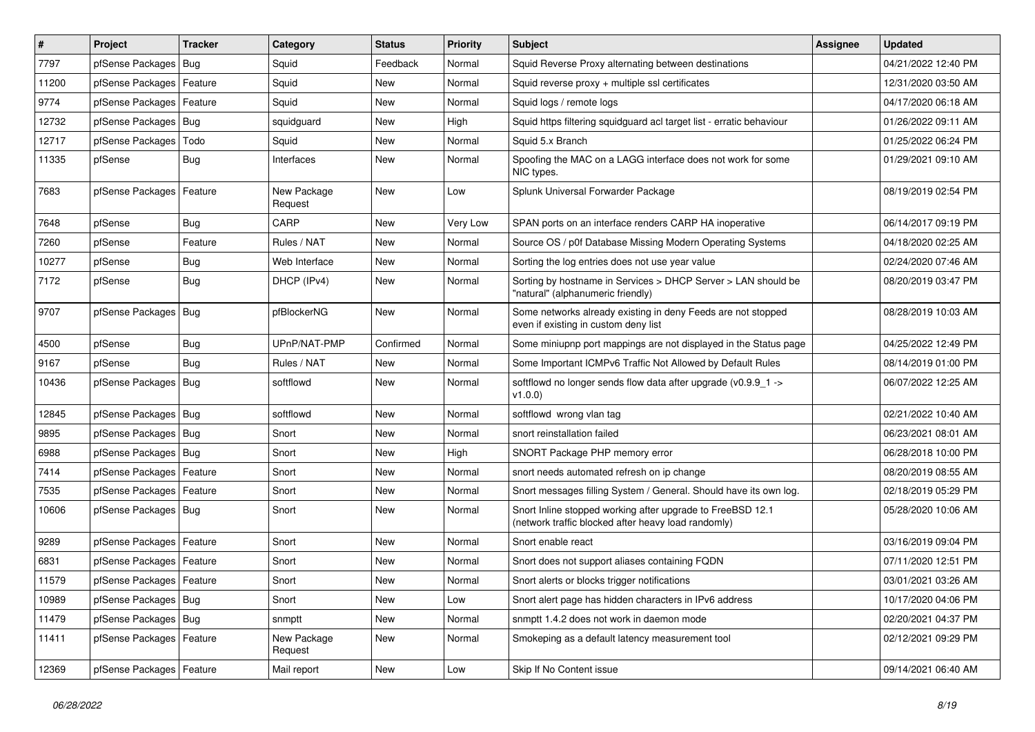| $\sharp$ | Project                    | <b>Tracker</b> | Category               | <b>Status</b> | <b>Priority</b> | Subject                                                                                                           | <b>Assignee</b> | <b>Updated</b>      |
|----------|----------------------------|----------------|------------------------|---------------|-----------------|-------------------------------------------------------------------------------------------------------------------|-----------------|---------------------|
| 7797     | pfSense Packages           | Bug            | Squid                  | Feedback      | Normal          | Squid Reverse Proxy alternating between destinations                                                              |                 | 04/21/2022 12:40 PM |
| 11200    | pfSense Packages   Feature |                | Squid                  | New           | Normal          | Squid reverse proxy + multiple ssl certificates                                                                   |                 | 12/31/2020 03:50 AM |
| 9774     | pfSense Packages   Feature |                | Squid                  | New           | Normal          | Squid logs / remote logs                                                                                          |                 | 04/17/2020 06:18 AM |
| 12732    | pfSense Packages   Bug     |                | squidguard             | New           | High            | Squid https filtering squidguard acl target list - erratic behaviour                                              |                 | 01/26/2022 09:11 AM |
| 12717    | pfSense Packages           | Todo           | Squid                  | <b>New</b>    | Normal          | Squid 5.x Branch                                                                                                  |                 | 01/25/2022 06:24 PM |
| 11335    | pfSense                    | Bug            | Interfaces             | New           | Normal          | Spoofing the MAC on a LAGG interface does not work for some<br>NIC types.                                         |                 | 01/29/2021 09:10 AM |
| 7683     | pfSense Packages           | Feature        | New Package<br>Request | New           | Low             | Splunk Universal Forwarder Package                                                                                |                 | 08/19/2019 02:54 PM |
| 7648     | pfSense                    | Bug            | CARP                   | New           | Very Low        | SPAN ports on an interface renders CARP HA inoperative                                                            |                 | 06/14/2017 09:19 PM |
| 7260     | pfSense                    | Feature        | Rules / NAT            | New           | Normal          | Source OS / p0f Database Missing Modern Operating Systems                                                         |                 | 04/18/2020 02:25 AM |
| 10277    | pfSense                    | Bug            | Web Interface          | New           | Normal          | Sorting the log entries does not use year value                                                                   |                 | 02/24/2020 07:46 AM |
| 7172     | pfSense                    | <b>Bug</b>     | DHCP (IPv4)            | New           | Normal          | Sorting by hostname in Services > DHCP Server > LAN should be<br>"natural" (alphanumeric friendly)                |                 | 08/20/2019 03:47 PM |
| 9707     | pfSense Packages   Bug     |                | pfBlockerNG            | New           | Normal          | Some networks already existing in deny Feeds are not stopped<br>even if existing in custom deny list              |                 | 08/28/2019 10:03 AM |
| 4500     | pfSense                    | Bug            | UPnP/NAT-PMP           | Confirmed     | Normal          | Some miniupnp port mappings are not displayed in the Status page                                                  |                 | 04/25/2022 12:49 PM |
| 9167     | pfSense                    | Bug            | Rules / NAT            | <b>New</b>    | Normal          | Some Important ICMPv6 Traffic Not Allowed by Default Rules                                                        |                 | 08/14/2019 01:00 PM |
| 10436    | pfSense Packages           | Bug            | softflowd              | New           | Normal          | softflowd no longer sends flow data after upgrade ( $v0.9.9$ 1 -><br>v1.0.0                                       |                 | 06/07/2022 12:25 AM |
| 12845    | pfSense Packages           | Bug            | softflowd              | New           | Normal          | softflowd wrong vlan tag                                                                                          |                 | 02/21/2022 10:40 AM |
| 9895     | pfSense Packages           | Bug            | Snort                  | New           | Normal          | snort reinstallation failed                                                                                       |                 | 06/23/2021 08:01 AM |
| 6988     | pfSense Packages   Bug     |                | Snort                  | New           | High            | SNORT Package PHP memory error                                                                                    |                 | 06/28/2018 10:00 PM |
| 7414     | pfSense Packages           | Feature        | Snort                  | New           | Normal          | snort needs automated refresh on ip change                                                                        |                 | 08/20/2019 08:55 AM |
| 7535     | pfSense Packages   Feature |                | Snort                  | New           | Normal          | Snort messages filling System / General. Should have its own log.                                                 |                 | 02/18/2019 05:29 PM |
| 10606    | pfSense Packages   Bug     |                | Snort                  | New           | Normal          | Snort Inline stopped working after upgrade to FreeBSD 12.1<br>(network traffic blocked after heavy load randomly) |                 | 05/28/2020 10:06 AM |
| 9289     | pfSense Packages   Feature |                | Snort                  | New           | Normal          | Snort enable react                                                                                                |                 | 03/16/2019 09:04 PM |
| 6831     | pfSense Packages   Feature |                | Snort                  | New           | Normal          | Snort does not support aliases containing FQDN                                                                    |                 | 07/11/2020 12:51 PM |
| 11579    | pfSense Packages   Feature |                | Snort                  | New           | Normal          | Snort alerts or blocks trigger notifications                                                                      |                 | 03/01/2021 03:26 AM |
| 10989    | pfSense Packages   Bug     |                | Snort                  | New           | Low             | Snort alert page has hidden characters in IPv6 address                                                            |                 | 10/17/2020 04:06 PM |
| 11479    | pfSense Packages   Bug     |                | snmptt                 | New           | Normal          | snmptt 1.4.2 does not work in daemon mode                                                                         |                 | 02/20/2021 04:37 PM |
| 11411    | pfSense Packages   Feature |                | New Package<br>Request | New           | Normal          | Smokeping as a default latency measurement tool                                                                   |                 | 02/12/2021 09:29 PM |
| 12369    | pfSense Packages   Feature |                | Mail report            | New           | Low             | Skip If No Content issue                                                                                          |                 | 09/14/2021 06:40 AM |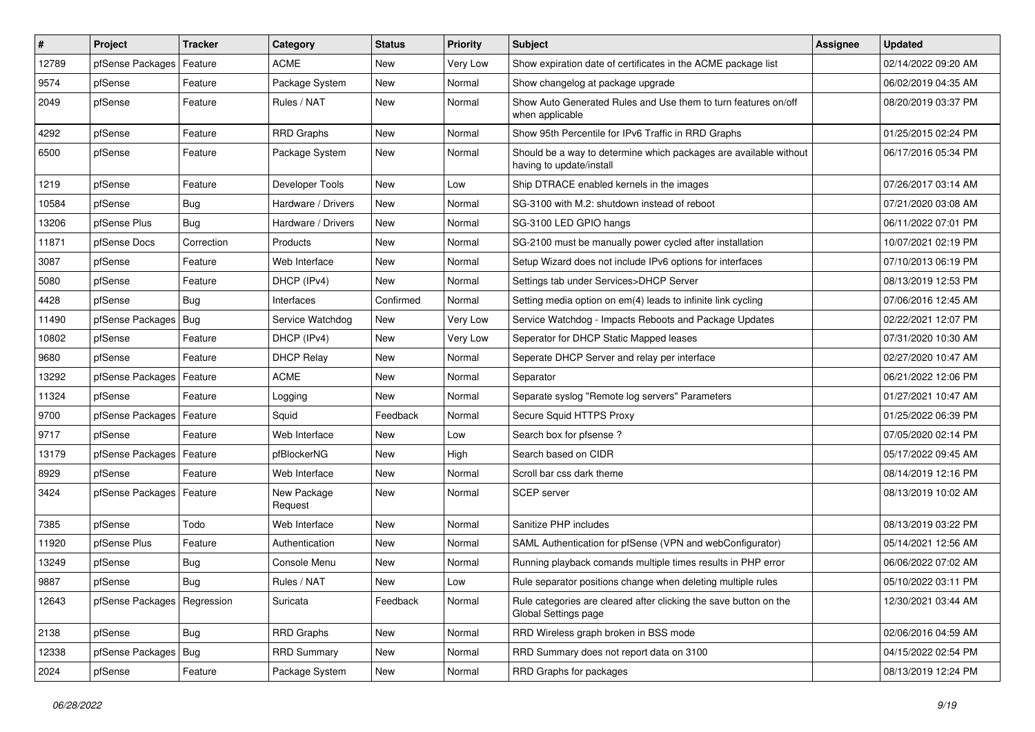| $\vert$ # | Project                       | <b>Tracker</b> | Category               | <b>Status</b> | <b>Priority</b> | Subject                                                                                       | <b>Assignee</b> | <b>Updated</b>      |
|-----------|-------------------------------|----------------|------------------------|---------------|-----------------|-----------------------------------------------------------------------------------------------|-----------------|---------------------|
| 12789     | pfSense Packages              | Feature        | <b>ACME</b>            | New           | Very Low        | Show expiration date of certificates in the ACME package list                                 |                 | 02/14/2022 09:20 AM |
| 9574      | pfSense                       | Feature        | Package System         | New           | Normal          | Show changelog at package upgrade                                                             |                 | 06/02/2019 04:35 AM |
| 2049      | pfSense                       | Feature        | Rules / NAT            | New           | Normal          | Show Auto Generated Rules and Use them to turn features on/off<br>when applicable             |                 | 08/20/2019 03:37 PM |
| 4292      | pfSense                       | Feature        | <b>RRD Graphs</b>      | <b>New</b>    | Normal          | Show 95th Percentile for IPv6 Traffic in RRD Graphs                                           |                 | 01/25/2015 02:24 PM |
| 6500      | pfSense                       | Feature        | Package System         | New           | Normal          | Should be a way to determine which packages are available without<br>having to update/install |                 | 06/17/2016 05:34 PM |
| 1219      | pfSense                       | Feature        | Developer Tools        | <b>New</b>    | Low             | Ship DTRACE enabled kernels in the images                                                     |                 | 07/26/2017 03:14 AM |
| 10584     | pfSense                       | <b>Bug</b>     | Hardware / Drivers     | New           | Normal          | SG-3100 with M.2: shutdown instead of reboot                                                  |                 | 07/21/2020 03:08 AM |
| 13206     | pfSense Plus                  | Bug            | Hardware / Drivers     | New           | Normal          | SG-3100 LED GPIO hangs                                                                        |                 | 06/11/2022 07:01 PM |
| 11871     | pfSense Docs                  | Correction     | Products               | New           | Normal          | SG-2100 must be manually power cycled after installation                                      |                 | 10/07/2021 02:19 PM |
| 3087      | pfSense                       | Feature        | Web Interface          | New           | Normal          | Setup Wizard does not include IPv6 options for interfaces                                     |                 | 07/10/2013 06:19 PM |
| 5080      | pfSense                       | Feature        | DHCP (IPv4)            | New           | Normal          | Settings tab under Services>DHCP Server                                                       |                 | 08/13/2019 12:53 PM |
| 4428      | pfSense                       | Bug            | Interfaces             | Confirmed     | Normal          | Setting media option on em(4) leads to infinite link cycling                                  |                 | 07/06/2016 12:45 AM |
| 11490     | pfSense Packages   Bug        |                | Service Watchdog       | <b>New</b>    | Very Low        | Service Watchdog - Impacts Reboots and Package Updates                                        |                 | 02/22/2021 12:07 PM |
| 10802     | pfSense                       | Feature        | DHCP (IPv4)            | New           | Very Low        | Seperator for DHCP Static Mapped leases                                                       |                 | 07/31/2020 10:30 AM |
| 9680      | pfSense                       | Feature        | <b>DHCP Relay</b>      | New           | Normal          | Seperate DHCP Server and relay per interface                                                  |                 | 02/27/2020 10:47 AM |
| 13292     | pfSense Packages              | Feature        | <b>ACME</b>            | New           | Normal          | Separator                                                                                     |                 | 06/21/2022 12:06 PM |
| 11324     | pfSense                       | Feature        | Logging                | New           | Normal          | Separate syslog "Remote log servers" Parameters                                               |                 | 01/27/2021 10:47 AM |
| 9700      | pfSense Packages              | Feature        | Squid                  | Feedback      | Normal          | Secure Squid HTTPS Proxy                                                                      |                 | 01/25/2022 06:39 PM |
| 9717      | pfSense                       | Feature        | Web Interface          | New           | Low             | Search box for pfsense ?                                                                      |                 | 07/05/2020 02:14 PM |
| 13179     | pfSense Packages              | Feature        | pfBlockerNG            | New           | High            | Search based on CIDR                                                                          |                 | 05/17/2022 09:45 AM |
| 8929      | pfSense                       | Feature        | Web Interface          | New           | Normal          | Scroll bar css dark theme                                                                     |                 | 08/14/2019 12:16 PM |
| 3424      | pfSense Packages   Feature    |                | New Package<br>Request | New           | Normal          | <b>SCEP</b> server                                                                            |                 | 08/13/2019 10:02 AM |
| 7385      | pfSense                       | Todo           | Web Interface          | <b>New</b>    | Normal          | Sanitize PHP includes                                                                         |                 | 08/13/2019 03:22 PM |
| 11920     | pfSense Plus                  | Feature        | Authentication         | New           | Normal          | SAML Authentication for pfSense (VPN and webConfigurator)                                     |                 | 05/14/2021 12:56 AM |
| 13249     | pfSense                       | Bug            | Console Menu           | New           | Normal          | Running playback comands multiple times results in PHP error                                  |                 | 06/06/2022 07:02 AM |
| 9887      | pfSense                       | Bug            | Rules / NAT            | New           | Low             | Rule separator positions change when deleting multiple rules                                  |                 | 05/10/2022 03:11 PM |
| 12643     | pfSense Packages   Regression |                | Suricata               | Feedback      | Normal          | Rule categories are cleared after clicking the save button on the<br>Global Settings page     |                 | 12/30/2021 03:44 AM |
| 2138      | pfSense                       | Bug            | RRD Graphs             | New           | Normal          | RRD Wireless graph broken in BSS mode                                                         |                 | 02/06/2016 04:59 AM |
| 12338     | pfSense Packages   Bug        |                | <b>RRD Summary</b>     | New           | Normal          | RRD Summary does not report data on 3100                                                      |                 | 04/15/2022 02:54 PM |
| 2024      | pfSense                       | Feature        | Package System         | New           | Normal          | RRD Graphs for packages                                                                       |                 | 08/13/2019 12:24 PM |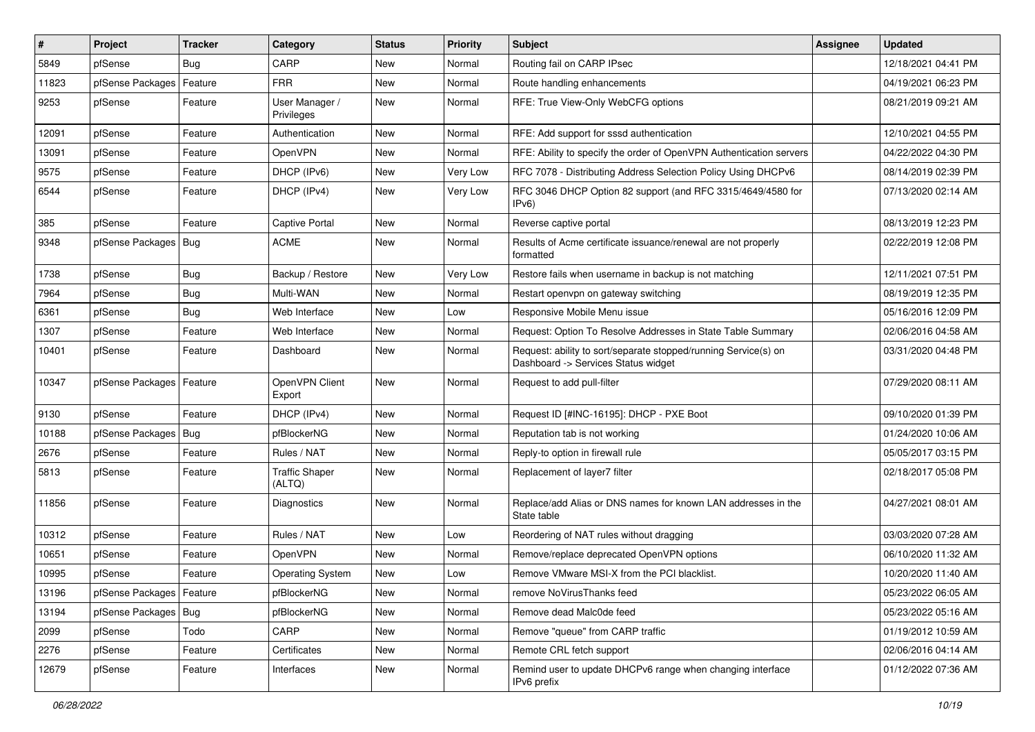| $\vert$ # | Project                    | <b>Tracker</b> | Category                        | <b>Status</b> | <b>Priority</b> | <b>Subject</b>                                                                                         | <b>Assignee</b> | <b>Updated</b>      |
|-----------|----------------------------|----------------|---------------------------------|---------------|-----------------|--------------------------------------------------------------------------------------------------------|-----------------|---------------------|
| 5849      | pfSense                    | Bug            | CARP                            | New           | Normal          | Routing fail on CARP IPsec                                                                             |                 | 12/18/2021 04:41 PM |
| 11823     | pfSense Packages           | Feature        | <b>FRR</b>                      | <b>New</b>    | Normal          | Route handling enhancements                                                                            |                 | 04/19/2021 06:23 PM |
| 9253      | pfSense                    | Feature        | User Manager /<br>Privileges    | New           | Normal          | RFE: True View-Only WebCFG options                                                                     |                 | 08/21/2019 09:21 AM |
| 12091     | pfSense                    | Feature        | Authentication                  | New           | Normal          | RFE: Add support for sssd authentication                                                               |                 | 12/10/2021 04:55 PM |
| 13091     | pfSense                    | Feature        | <b>OpenVPN</b>                  | New           | Normal          | RFE: Ability to specify the order of OpenVPN Authentication servers                                    |                 | 04/22/2022 04:30 PM |
| 9575      | pfSense                    | Feature        | DHCP (IPv6)                     | New           | Very Low        | RFC 7078 - Distributing Address Selection Policy Using DHCPv6                                          |                 | 08/14/2019 02:39 PM |
| 6544      | pfSense                    | Feature        | DHCP (IPv4)                     | New           | Very Low        | RFC 3046 DHCP Option 82 support (and RFC 3315/4649/4580 for<br>IPv6                                    |                 | 07/13/2020 02:14 AM |
| 385       | pfSense                    | Feature        | <b>Captive Portal</b>           | <b>New</b>    | Normal          | Reverse captive portal                                                                                 |                 | 08/13/2019 12:23 PM |
| 9348      | pfSense Packages           | Bug            | <b>ACME</b>                     | New           | Normal          | Results of Acme certificate issuance/renewal are not properly<br>formatted                             |                 | 02/22/2019 12:08 PM |
| 1738      | pfSense                    | <b>Bug</b>     | Backup / Restore                | <b>New</b>    | Very Low        | Restore fails when username in backup is not matching                                                  |                 | 12/11/2021 07:51 PM |
| 7964      | pfSense                    | <b>Bug</b>     | Multi-WAN                       | New           | Normal          | Restart openvpn on gateway switching                                                                   |                 | 08/19/2019 12:35 PM |
| 6361      | pfSense                    | <b>Bug</b>     | Web Interface                   | New           | Low             | Responsive Mobile Menu issue                                                                           |                 | 05/16/2016 12:09 PM |
| 1307      | pfSense                    | Feature        | Web Interface                   | New           | Normal          | Request: Option To Resolve Addresses in State Table Summary                                            |                 | 02/06/2016 04:58 AM |
| 10401     | pfSense                    | Feature        | Dashboard                       | New           | Normal          | Request: ability to sort/separate stopped/running Service(s) on<br>Dashboard -> Services Status widget |                 | 03/31/2020 04:48 PM |
| 10347     | pfSense Packages           | Feature        | OpenVPN Client<br>Export        | <b>New</b>    | Normal          | Request to add pull-filter                                                                             |                 | 07/29/2020 08:11 AM |
| 9130      | pfSense                    | Feature        | DHCP (IPv4)                     | <b>New</b>    | Normal          | Request ID [#INC-16195]: DHCP - PXE Boot                                                               |                 | 09/10/2020 01:39 PM |
| 10188     | pfSense Packages           | Bug            | pfBlockerNG                     | New           | Normal          | Reputation tab is not working                                                                          |                 | 01/24/2020 10:06 AM |
| 2676      | pfSense                    | Feature        | Rules / NAT                     | New           | Normal          | Reply-to option in firewall rule                                                                       |                 | 05/05/2017 03:15 PM |
| 5813      | pfSense                    | Feature        | <b>Traffic Shaper</b><br>(ALTQ) | New           | Normal          | Replacement of layer7 filter                                                                           |                 | 02/18/2017 05:08 PM |
| 11856     | pfSense                    | Feature        | Diagnostics                     | New           | Normal          | Replace/add Alias or DNS names for known LAN addresses in the<br>State table                           |                 | 04/27/2021 08:01 AM |
| 10312     | pfSense                    | Feature        | Rules / NAT                     | New           | Low             | Reordering of NAT rules without dragging                                                               |                 | 03/03/2020 07:28 AM |
| 10651     | pfSense                    | Feature        | OpenVPN                         | New           | Normal          | Remove/replace deprecated OpenVPN options                                                              |                 | 06/10/2020 11:32 AM |
| 10995     | pfSense                    | Feature        | <b>Operating System</b>         | New           | Low             | Remove VMware MSI-X from the PCI blacklist.                                                            |                 | 10/20/2020 11:40 AM |
| 13196     | pfSense Packages   Feature |                | pfBlockerNG                     | New           | Normal          | remove NoVirusThanks feed                                                                              |                 | 05/23/2022 06:05 AM |
| 13194     | pfSense Packages           | Bug            | pfBlockerNG                     | New           | Normal          | Remove dead Malc0de feed                                                                               |                 | 05/23/2022 05:16 AM |
| 2099      | pfSense                    | Todo           | CARP                            | New           | Normal          | Remove "queue" from CARP traffic                                                                       |                 | 01/19/2012 10:59 AM |
| 2276      | pfSense                    | Feature        | Certificates                    | New           | Normal          | Remote CRL fetch support                                                                               |                 | 02/06/2016 04:14 AM |
| 12679     | pfSense                    | Feature        | Interfaces                      | New           | Normal          | Remind user to update DHCPv6 range when changing interface<br>IPv6 prefix                              |                 | 01/12/2022 07:36 AM |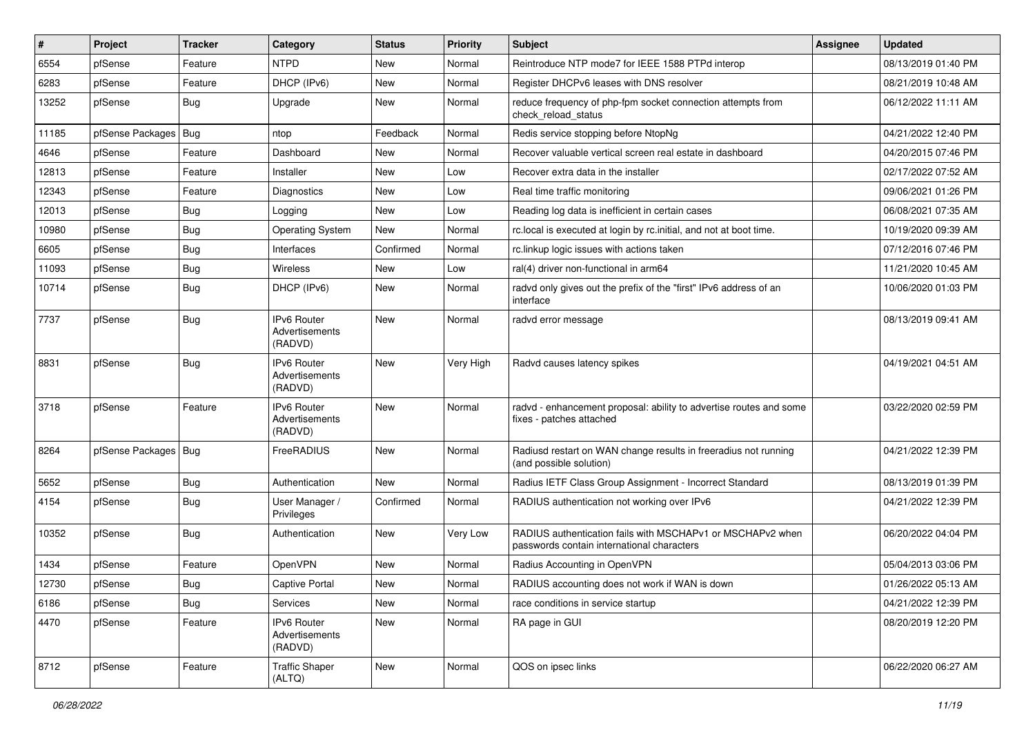| #     | Project                | <b>Tracker</b> | Category                                        | <b>Status</b> | <b>Priority</b> | <b>Subject</b>                                                                                           | <b>Assignee</b> | <b>Updated</b>      |
|-------|------------------------|----------------|-------------------------------------------------|---------------|-----------------|----------------------------------------------------------------------------------------------------------|-----------------|---------------------|
| 6554  | pfSense                | Feature        | <b>NTPD</b>                                     | New           | Normal          | Reintroduce NTP mode7 for IEEE 1588 PTPd interop                                                         |                 | 08/13/2019 01:40 PM |
| 6283  | pfSense                | Feature        | DHCP (IPv6)                                     | New           | Normal          | Register DHCPv6 leases with DNS resolver                                                                 |                 | 08/21/2019 10:48 AM |
| 13252 | pfSense                | Bug            | Upgrade                                         | New           | Normal          | reduce frequency of php-fpm socket connection attempts from<br>check reload status                       |                 | 06/12/2022 11:11 AM |
| 11185 | pfSense Packages       | Bug            | ntop                                            | Feedback      | Normal          | Redis service stopping before NtopNg                                                                     |                 | 04/21/2022 12:40 PM |
| 4646  | pfSense                | Feature        | Dashboard                                       | New           | Normal          | Recover valuable vertical screen real estate in dashboard                                                |                 | 04/20/2015 07:46 PM |
| 12813 | pfSense                | Feature        | Installer                                       | New           | Low             | Recover extra data in the installer                                                                      |                 | 02/17/2022 07:52 AM |
| 12343 | pfSense                | Feature        | Diagnostics                                     | <b>New</b>    | Low             | Real time traffic monitoring                                                                             |                 | 09/06/2021 01:26 PM |
| 12013 | pfSense                | Bug            | Logging                                         | New           | Low             | Reading log data is inefficient in certain cases                                                         |                 | 06/08/2021 07:35 AM |
| 10980 | pfSense                | <b>Bug</b>     | <b>Operating System</b>                         | <b>New</b>    | Normal          | rc.local is executed at login by rc.initial, and not at boot time.                                       |                 | 10/19/2020 09:39 AM |
| 6605  | pfSense                | Bug            | Interfaces                                      | Confirmed     | Normal          | rc.linkup logic issues with actions taken                                                                |                 | 07/12/2016 07:46 PM |
| 11093 | pfSense                | <b>Bug</b>     | <b>Wireless</b>                                 | <b>New</b>    | Low             | ral(4) driver non-functional in arm64                                                                    |                 | 11/21/2020 10:45 AM |
| 10714 | pfSense                | Bug            | DHCP (IPv6)                                     | <b>New</b>    | Normal          | radvd only gives out the prefix of the "first" IPv6 address of an<br>interface                           |                 | 10/06/2020 01:03 PM |
| 7737  | pfSense                | Bug            | IPv6 Router<br>Advertisements<br>(RADVD)        | <b>New</b>    | Normal          | radvd error message                                                                                      |                 | 08/13/2019 09:41 AM |
| 8831  | pfSense                | Bug            | IPv6 Router<br>Advertisements<br>(RADVD)        | <b>New</b>    | Very High       | Radvd causes latency spikes                                                                              |                 | 04/19/2021 04:51 AM |
| 3718  | pfSense                | Feature        | <b>IPv6 Router</b><br>Advertisements<br>(RADVD) | <b>New</b>    | Normal          | radvd - enhancement proposal: ability to advertise routes and some<br>fixes - patches attached           |                 | 03/22/2020 02:59 PM |
| 8264  | pfSense Packages   Bug |                | FreeRADIUS                                      | <b>New</b>    | Normal          | Radiusd restart on WAN change results in freeradius not running<br>(and possible solution)               |                 | 04/21/2022 12:39 PM |
| 5652  | pfSense                | Bug            | Authentication                                  | <b>New</b>    | Normal          | Radius IETF Class Group Assignment - Incorrect Standard                                                  |                 | 08/13/2019 01:39 PM |
| 4154  | pfSense                | Bug            | User Manager /<br>Privileges                    | Confirmed     | Normal          | RADIUS authentication not working over IPv6                                                              |                 | 04/21/2022 12:39 PM |
| 10352 | pfSense                | <b>Bug</b>     | Authentication                                  | New           | Very Low        | RADIUS authentication fails with MSCHAPv1 or MSCHAPv2 when<br>passwords contain international characters |                 | 06/20/2022 04:04 PM |
| 1434  | pfSense                | Feature        | OpenVPN                                         | New           | Normal          | Radius Accounting in OpenVPN                                                                             |                 | 05/04/2013 03:06 PM |
| 12730 | pfSense                | Bug            | <b>Captive Portal</b>                           | New           | Normal          | RADIUS accounting does not work if WAN is down                                                           |                 | 01/26/2022 05:13 AM |
| 6186  | pfSense                | Bug            | Services                                        | New           | Normal          | race conditions in service startup                                                                       |                 | 04/21/2022 12:39 PM |
| 4470  | pfSense                | Feature        | IPv6 Router<br>Advertisements<br>(RADVD)        | New           | Normal          | RA page in GUI                                                                                           |                 | 08/20/2019 12:20 PM |
| 8712  | pfSense                | Feature        | <b>Traffic Shaper</b><br>(ALTQ)                 | New           | Normal          | QOS on ipsec links                                                                                       |                 | 06/22/2020 06:27 AM |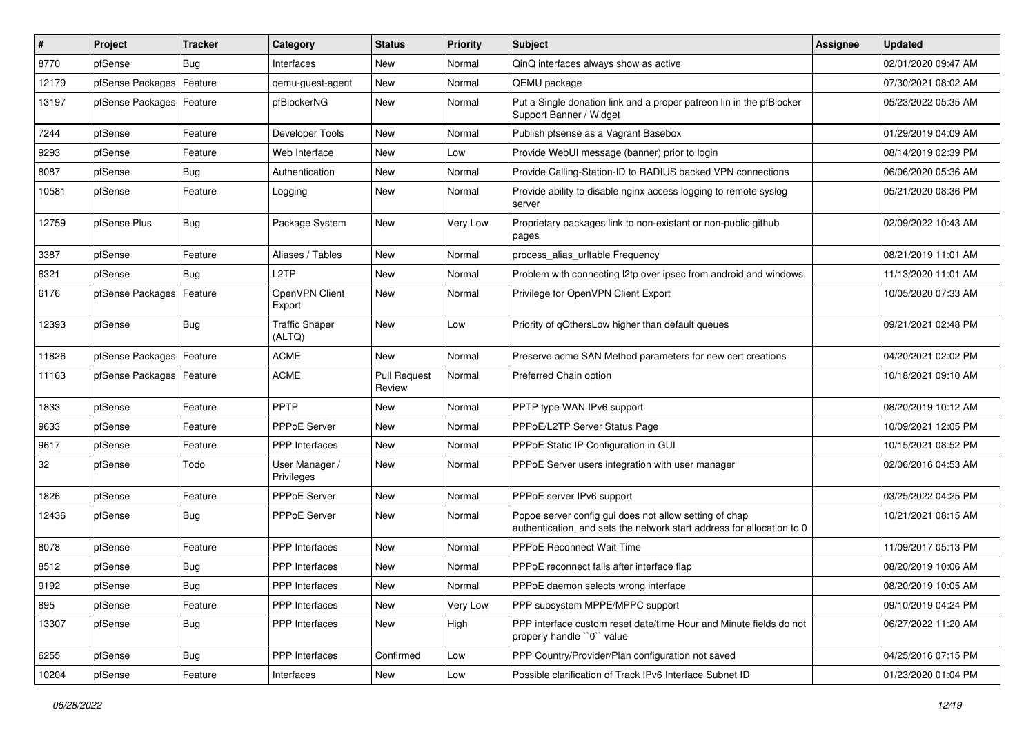| #     | <b>Project</b>   | <b>Tracker</b> | Category                            | <b>Status</b>                 | <b>Priority</b> | <b>Subject</b>                                                                                                                   | <b>Assignee</b> | <b>Updated</b>      |
|-------|------------------|----------------|-------------------------------------|-------------------------------|-----------------|----------------------------------------------------------------------------------------------------------------------------------|-----------------|---------------------|
| 8770  | pfSense          | Bug            | Interfaces                          | New                           | Normal          | QinQ interfaces always show as active                                                                                            |                 | 02/01/2020 09:47 AM |
| 12179 | pfSense Packages | Feature        | qemu-guest-agent                    | New                           | Normal          | QEMU package                                                                                                                     |                 | 07/30/2021 08:02 AM |
| 13197 | pfSense Packages | Feature        | pfBlockerNG                         | New                           | Normal          | Put a Single donation link and a proper patreon lin in the pfBlocker<br>Support Banner / Widget                                  |                 | 05/23/2022 05:35 AM |
| 7244  | pfSense          | Feature        | Developer Tools                     | New                           | Normal          | Publish pfsense as a Vagrant Basebox                                                                                             |                 | 01/29/2019 04:09 AM |
| 9293  | pfSense          | Feature        | Web Interface                       | New                           | Low             | Provide WebUI message (banner) prior to login                                                                                    |                 | 08/14/2019 02:39 PM |
| 8087  | pfSense          | Bug            | Authentication                      | New                           | Normal          | Provide Calling-Station-ID to RADIUS backed VPN connections                                                                      |                 | 06/06/2020 05:36 AM |
| 10581 | pfSense          | Feature        | Logging                             | New                           | Normal          | Provide ability to disable nginx access logging to remote syslog<br>server                                                       |                 | 05/21/2020 08:36 PM |
| 12759 | pfSense Plus     | Bug            | Package System                      | New                           | Very Low        | Proprietary packages link to non-existant or non-public github<br>pages                                                          |                 | 02/09/2022 10:43 AM |
| 3387  | pfSense          | Feature        | Aliases / Tables                    | New                           | Normal          | process_alias_urltable Frequency                                                                                                 |                 | 08/21/2019 11:01 AM |
| 6321  | pfSense          | Bug            | L <sub>2</sub> TP                   | <b>New</b>                    | Normal          | Problem with connecting I2tp over ipsec from android and windows                                                                 |                 | 11/13/2020 11:01 AM |
| 6176  | pfSense Packages | Feature        | OpenVPN Client<br>Export            | New                           | Normal          | Privilege for OpenVPN Client Export                                                                                              |                 | 10/05/2020 07:33 AM |
| 12393 | pfSense          | Bug            | <b>Traffic Shaper</b><br>(ALTQ)     | New                           | Low             | Priority of gOthersLow higher than default queues                                                                                |                 | 09/21/2021 02:48 PM |
| 11826 | pfSense Packages | Feature        | <b>ACME</b>                         | New                           | Normal          | Preserve acme SAN Method parameters for new cert creations                                                                       |                 | 04/20/2021 02:02 PM |
| 11163 | pfSense Packages | Feature        | <b>ACME</b>                         | <b>Pull Request</b><br>Review | Normal          | Preferred Chain option                                                                                                           |                 | 10/18/2021 09:10 AM |
| 1833  | pfSense          | Feature        | PPTP                                | <b>New</b>                    | Normal          | PPTP type WAN IPv6 support                                                                                                       |                 | 08/20/2019 10:12 AM |
| 9633  | pfSense          | Feature        | PPPoE Server                        | New                           | Normal          | PPPoE/L2TP Server Status Page                                                                                                    |                 | 10/09/2021 12:05 PM |
| 9617  | pfSense          | Feature        | <b>PPP</b> Interfaces               | New                           | Normal          | PPPoE Static IP Configuration in GUI                                                                                             |                 | 10/15/2021 08:52 PM |
| 32    | pfSense          | Todo           | User Manager /<br><b>Privileges</b> | <b>New</b>                    | Normal          | PPPoE Server users integration with user manager                                                                                 |                 | 02/06/2016 04:53 AM |
| 1826  | pfSense          | Feature        | <b>PPPoE Server</b>                 | New                           | Normal          | PPPoE server IPv6 support                                                                                                        |                 | 03/25/2022 04:25 PM |
| 12436 | pfSense          | Bug            | PPPoE Server                        | New                           | Normal          | Pppoe server config gui does not allow setting of chap<br>authentication, and sets the network start address for allocation to 0 |                 | 10/21/2021 08:15 AM |
| 8078  | pfSense          | Feature        | PPP Interfaces                      | <b>New</b>                    | Normal          | <b>PPPoE Reconnect Wait Time</b>                                                                                                 |                 | 11/09/2017 05:13 PM |
| 8512  | pfSense          | <b>Bug</b>     | <b>PPP</b> Interfaces               | New                           | Normal          | PPPoE reconnect fails after interface flap                                                                                       |                 | 08/20/2019 10:06 AM |
| 9192  | pfSense          | Bug            | PPP Interfaces                      | New                           | Normal          | PPPoE daemon selects wrong interface                                                                                             |                 | 08/20/2019 10:05 AM |
| 895   | pfSense          | Feature        | PPP Interfaces                      | <b>New</b>                    | Very Low        | PPP subsystem MPPE/MPPC support                                                                                                  |                 | 09/10/2019 04:24 PM |
| 13307 | pfSense          | <b>Bug</b>     | PPP Interfaces                      | New                           | High            | PPP interface custom reset date/time Hour and Minute fields do not<br>properly handle "0" value                                  |                 | 06/27/2022 11:20 AM |
| 6255  | pfSense          | Bug            | PPP Interfaces                      | Confirmed                     | Low             | PPP Country/Provider/Plan configuration not saved                                                                                |                 | 04/25/2016 07:15 PM |
| 10204 | pfSense          | Feature        | Interfaces                          | New                           | Low             | Possible clarification of Track IPv6 Interface Subnet ID                                                                         |                 | 01/23/2020 01:04 PM |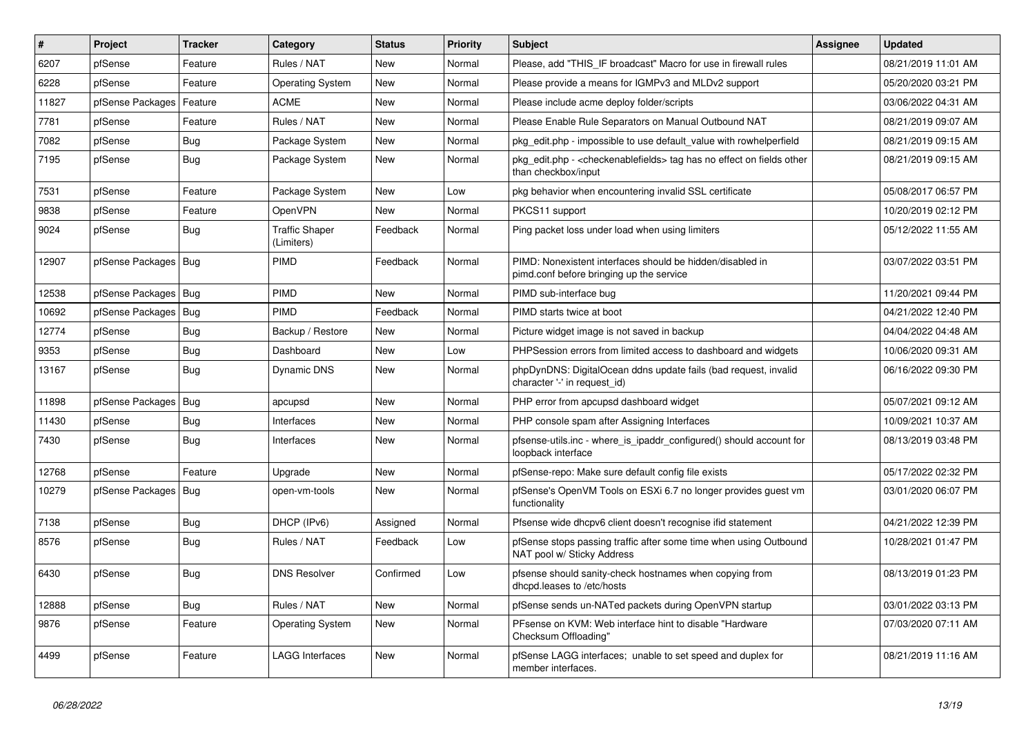| #     | <b>Project</b>         | <b>Tracker</b> | Category                            | <b>Status</b> | <b>Priority</b> | <b>Subject</b>                                                                                                   | <b>Assignee</b> | <b>Updated</b>      |
|-------|------------------------|----------------|-------------------------------------|---------------|-----------------|------------------------------------------------------------------------------------------------------------------|-----------------|---------------------|
| 6207  | pfSense                | Feature        | Rules / NAT                         | <b>New</b>    | Normal          | Please, add "THIS IF broadcast" Macro for use in firewall rules                                                  |                 | 08/21/2019 11:01 AM |
| 6228  | pfSense                | Feature        | <b>Operating System</b>             | <b>New</b>    | Normal          | Please provide a means for IGMPv3 and MLDv2 support                                                              |                 | 05/20/2020 03:21 PM |
| 11827 | pfSense Packages       | Feature        | <b>ACME</b>                         | <b>New</b>    | Normal          | Please include acme deploy folder/scripts                                                                        |                 | 03/06/2022 04:31 AM |
| 7781  | pfSense                | Feature        | Rules / NAT                         | <b>New</b>    | Normal          | Please Enable Rule Separators on Manual Outbound NAT                                                             |                 | 08/21/2019 09:07 AM |
| 7082  | pfSense                | <b>Bug</b>     | Package System                      | <b>New</b>    | Normal          | pkg edit.php - impossible to use default value with rowhelperfield                                               |                 | 08/21/2019 09:15 AM |
| 7195  | pfSense                | <b>Bug</b>     | Package System                      | <b>New</b>    | Normal          | pkg edit.php - <checkenablefields> tag has no effect on fields other<br/>than checkbox/input</checkenablefields> |                 | 08/21/2019 09:15 AM |
| 7531  | pfSense                | Feature        | Package System                      | New           | Low             | pkg behavior when encountering invalid SSL certificate                                                           |                 | 05/08/2017 06:57 PM |
| 9838  | pfSense                | Feature        | OpenVPN                             | New           | Normal          | PKCS11 support                                                                                                   |                 | 10/20/2019 02:12 PM |
| 9024  | pfSense                | Bug            | <b>Traffic Shaper</b><br>(Limiters) | Feedback      | Normal          | Ping packet loss under load when using limiters                                                                  |                 | 05/12/2022 11:55 AM |
| 12907 | pfSense Packages   Bug |                | PIMD                                | Feedback      | Normal          | PIMD: Nonexistent interfaces should be hidden/disabled in<br>pimd.conf before bringing up the service            |                 | 03/07/2022 03:51 PM |
| 12538 | pfSense Packages       | Bug            | PIMD                                | <b>New</b>    | Normal          | PIMD sub-interface bug                                                                                           |                 | 11/20/2021 09:44 PM |
| 10692 | pfSense Packages       | Bug            | PIMD                                | Feedback      | Normal          | PIMD starts twice at boot                                                                                        |                 | 04/21/2022 12:40 PM |
| 12774 | pfSense                | Bug            | Backup / Restore                    | New           | Normal          | Picture widget image is not saved in backup                                                                      |                 | 04/04/2022 04:48 AM |
| 9353  | pfSense                | Bug            | Dashboard                           | New           | Low             | PHPSession errors from limited access to dashboard and widgets                                                   |                 | 10/06/2020 09:31 AM |
| 13167 | pfSense                | Bug            | Dynamic DNS                         | New           | Normal          | phpDynDNS: DigitalOcean ddns update fails (bad request, invalid<br>character '-' in request id)                  |                 | 06/16/2022 09:30 PM |
| 11898 | pfSense Packages       | Bug            | apcupsd                             | New           | Normal          | PHP error from apcupsd dashboard widget                                                                          |                 | 05/07/2021 09:12 AM |
| 11430 | pfSense                | Bug            | Interfaces                          | New           | Normal          | PHP console spam after Assigning Interfaces                                                                      |                 | 10/09/2021 10:37 AM |
| 7430  | pfSense                | Bug            | Interfaces                          | <b>New</b>    | Normal          | pfsense-utils.inc - where is ipaddr configured() should account for<br>loopback interface                        |                 | 08/13/2019 03:48 PM |
| 12768 | pfSense                | Feature        | Upgrade                             | <b>New</b>    | Normal          | pfSense-repo: Make sure default config file exists                                                               |                 | 05/17/2022 02:32 PM |
| 10279 | pfSense Packages       | Bug            | open-vm-tools                       | <b>New</b>    | Normal          | pfSense's OpenVM Tools on ESXi 6.7 no longer provides guest vm<br>functionality                                  |                 | 03/01/2020 06:07 PM |
| 7138  | pfSense                | <b>Bug</b>     | DHCP (IPv6)                         | Assigned      | Normal          | Pfsense wide dhcpv6 client doesn't recognise if id statement                                                     |                 | 04/21/2022 12:39 PM |
| 8576  | pfSense                | Bug            | Rules / NAT                         | Feedback      | Low             | pfSense stops passing traffic after some time when using Outbound<br>NAT pool w/ Sticky Address                  |                 | 10/28/2021 01:47 PM |
| 6430  | pfSense                | <b>Bug</b>     | <b>DNS Resolver</b>                 | Confirmed     | Low             | pfsense should sanity-check hostnames when copying from<br>dhcpd.leases to /etc/hosts                            |                 | 08/13/2019 01:23 PM |
| 12888 | pfSense                | Bug            | Rules / NAT                         | <b>New</b>    | Normal          | pfSense sends un-NATed packets during OpenVPN startup                                                            |                 | 03/01/2022 03:13 PM |
| 9876  | pfSense                | Feature        | Operating System                    | <b>New</b>    | Normal          | PFsense on KVM: Web interface hint to disable "Hardware"<br>Checksum Offloading"                                 |                 | 07/03/2020 07:11 AM |
| 4499  | pfSense                | Feature        | <b>LAGG Interfaces</b>              | <b>New</b>    | Normal          | pfSense LAGG interfaces; unable to set speed and duplex for<br>member interfaces.                                |                 | 08/21/2019 11:16 AM |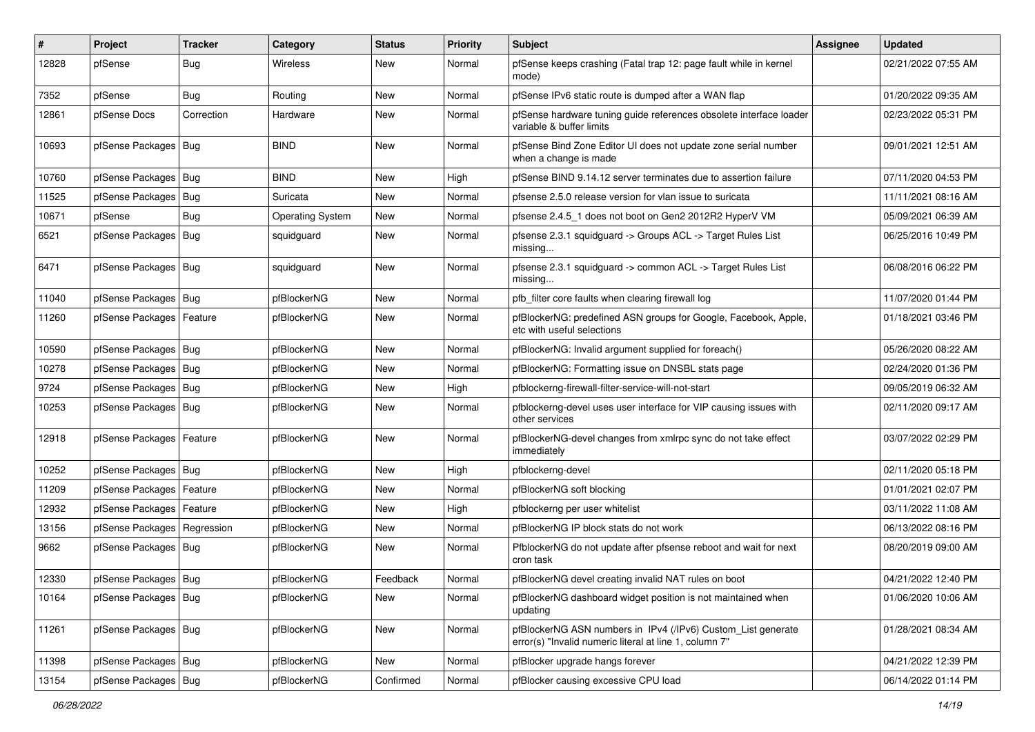| $\vert$ # | Project                       | <b>Tracker</b> | Category                | <b>Status</b> | <b>Priority</b> | <b>Subject</b>                                                                                                         | <b>Assignee</b> | <b>Updated</b>      |
|-----------|-------------------------------|----------------|-------------------------|---------------|-----------------|------------------------------------------------------------------------------------------------------------------------|-----------------|---------------------|
| 12828     | pfSense                       | Bug            | Wireless                | New           | Normal          | pfSense keeps crashing (Fatal trap 12: page fault while in kernel<br>mode)                                             |                 | 02/21/2022 07:55 AM |
| 7352      | pfSense                       | Bug            | Routing                 | New           | Normal          | pfSense IPv6 static route is dumped after a WAN flap                                                                   |                 | 01/20/2022 09:35 AM |
| 12861     | pfSense Docs                  | Correction     | Hardware                | New           | Normal          | pfSense hardware tuning guide references obsolete interface loader<br>variable & buffer limits                         |                 | 02/23/2022 05:31 PM |
| 10693     | pfSense Packages   Bug        |                | <b>BIND</b>             | <b>New</b>    | Normal          | pfSense Bind Zone Editor UI does not update zone serial number<br>when a change is made                                |                 | 09/01/2021 12:51 AM |
| 10760     | pfSense Packages   Bug        |                | <b>BIND</b>             | <b>New</b>    | High            | pfSense BIND 9.14.12 server terminates due to assertion failure                                                        |                 | 07/11/2020 04:53 PM |
| 11525     | pfSense Packages              | Bug            | Suricata                | New           | Normal          | pfsense 2.5.0 release version for vlan issue to suricata                                                               |                 | 11/11/2021 08:16 AM |
| 10671     | pfSense                       | Bug            | <b>Operating System</b> | <b>New</b>    | Normal          | pfsense 2.4.5 1 does not boot on Gen2 2012R2 HyperV VM                                                                 |                 | 05/09/2021 06:39 AM |
| 6521      | pfSense Packages              | Bug            | squidguard              | New           | Normal          | pfsense 2.3.1 squidguard -> Groups ACL -> Target Rules List<br>missing                                                 |                 | 06/25/2016 10:49 PM |
| 6471      | pfSense Packages   Bug        |                | squidguard              | New           | Normal          | pfsense 2.3.1 squidguard -> common ACL -> Target Rules List<br>missing                                                 |                 | 06/08/2016 06:22 PM |
| 11040     | pfSense Packages   Bug        |                | pfBlockerNG             | <b>New</b>    | Normal          | pfb_filter core faults when clearing firewall log                                                                      |                 | 11/07/2020 01:44 PM |
| 11260     | pfSense Packages   Feature    |                | pfBlockerNG             | New           | Normal          | pfBlockerNG: predefined ASN groups for Google, Facebook, Apple,<br>etc with useful selections                          |                 | 01/18/2021 03:46 PM |
| 10590     | pfSense Packages   Bug        |                | pfBlockerNG             | New           | Normal          | pfBlockerNG: Invalid argument supplied for foreach()                                                                   |                 | 05/26/2020 08:22 AM |
| 10278     | pfSense Packages   Bug        |                | pfBlockerNG             | New           | Normal          | pfBlockerNG: Formatting issue on DNSBL stats page                                                                      |                 | 02/24/2020 01:36 PM |
| 9724      | pfSense Packages   Bug        |                | pfBlockerNG             | <b>New</b>    | High            | pfblockerng-firewall-filter-service-will-not-start                                                                     |                 | 09/05/2019 06:32 AM |
| 10253     | pfSense Packages   Bug        |                | pfBlockerNG             | New           | Normal          | pfblockerng-devel uses user interface for VIP causing issues with<br>other services                                    |                 | 02/11/2020 09:17 AM |
| 12918     | pfSense Packages   Feature    |                | pfBlockerNG             | New           | Normal          | pfBlockerNG-devel changes from xmlrpc sync do not take effect<br>immediately                                           |                 | 03/07/2022 02:29 PM |
| 10252     | pfSense Packages   Bug        |                | pfBlockerNG             | New           | High            | pfblockerng-devel                                                                                                      |                 | 02/11/2020 05:18 PM |
| 11209     | pfSense Packages              | Feature        | pfBlockerNG             | New           | Normal          | pfBlockerNG soft blocking                                                                                              |                 | 01/01/2021 02:07 PM |
| 12932     | pfSense Packages              | Feature        | pfBlockerNG             | New           | High            | pfblockerng per user whitelist                                                                                         |                 | 03/11/2022 11:08 AM |
| 13156     | pfSense Packages   Regression |                | pfBlockerNG             | <b>New</b>    | Normal          | pfBlockerNG IP block stats do not work                                                                                 |                 | 06/13/2022 08:16 PM |
| 9662      | pfSense Packages   Bug        |                | pfBlockerNG             | New           | Normal          | PfblockerNG do not update after pfsense reboot and wait for next<br>cron task                                          |                 | 08/20/2019 09:00 AM |
| 12330     | pfSense Packages   Bug        |                | pfBlockerNG             | Feedback      | Normal          | pfBlockerNG devel creating invalid NAT rules on boot                                                                   |                 | 04/21/2022 12:40 PM |
| 10164     | pfSense Packages   Bug        |                | pfBlockerNG             | New           | Normal          | pfBlockerNG dashboard widget position is not maintained when<br>updating                                               |                 | 01/06/2020 10:06 AM |
| 11261     | pfSense Packages   Bug        |                | pfBlockerNG             | New           | Normal          | pfBlockerNG ASN numbers in IPv4 (/IPv6) Custom_List generate<br>error(s) "Invalid numeric literal at line 1, column 7" |                 | 01/28/2021 08:34 AM |
| 11398     | pfSense Packages   Bug        |                | pfBlockerNG             | New           | Normal          | pfBlocker upgrade hangs forever                                                                                        |                 | 04/21/2022 12:39 PM |
| 13154     | pfSense Packages   Bug        |                | pfBlockerNG             | Confirmed     | Normal          | pfBlocker causing excessive CPU load                                                                                   |                 | 06/14/2022 01:14 PM |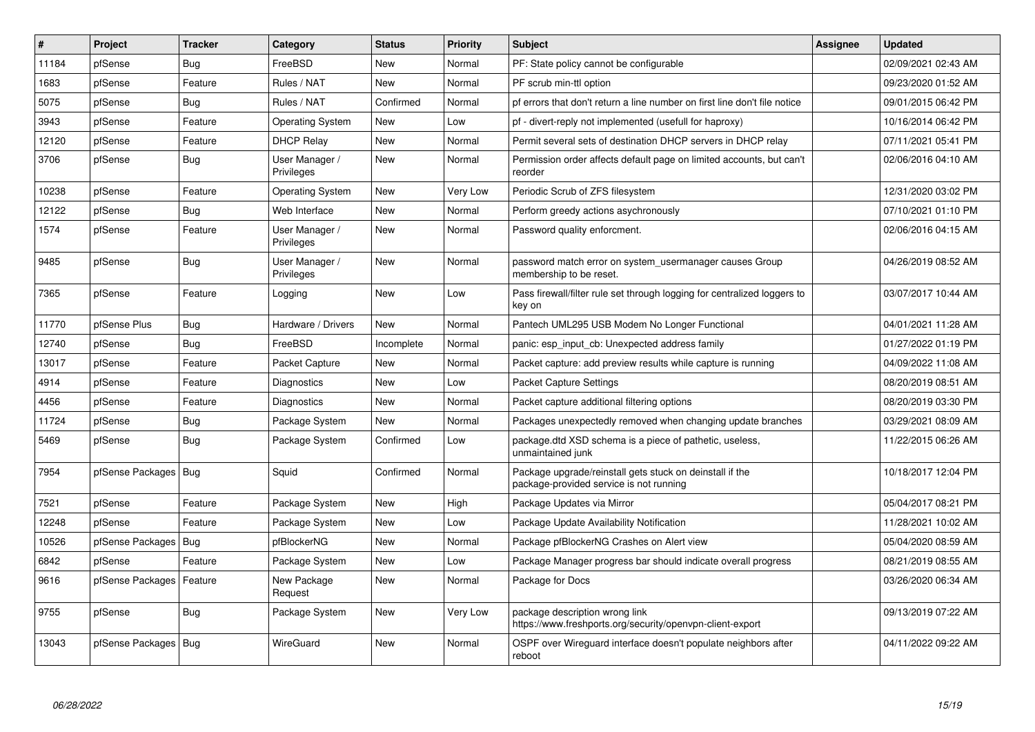| #     | Project                    | <b>Tracker</b> | Category                            | <b>Status</b> | <b>Priority</b> | <b>Subject</b>                                                                                      | <b>Assignee</b> | <b>Updated</b>      |
|-------|----------------------------|----------------|-------------------------------------|---------------|-----------------|-----------------------------------------------------------------------------------------------------|-----------------|---------------------|
| 11184 | pfSense                    | <b>Bug</b>     | FreeBSD                             | <b>New</b>    | Normal          | PF: State policy cannot be configurable                                                             |                 | 02/09/2021 02:43 AM |
| 1683  | pfSense                    | Feature        | Rules / NAT                         | New           | Normal          | PF scrub min-ttl option                                                                             |                 | 09/23/2020 01:52 AM |
| 5075  | pfSense                    | Bug            | Rules / NAT                         | Confirmed     | Normal          | pf errors that don't return a line number on first line don't file notice                           |                 | 09/01/2015 06:42 PM |
| 3943  | pfSense                    | Feature        | <b>Operating System</b>             | <b>New</b>    | Low             | pf - divert-reply not implemented (usefull for haproxy)                                             |                 | 10/16/2014 06:42 PM |
| 12120 | pfSense                    | Feature        | <b>DHCP Relay</b>                   | New           | Normal          | Permit several sets of destination DHCP servers in DHCP relay                                       |                 | 07/11/2021 05:41 PM |
| 3706  | pfSense                    | Bug            | User Manager /<br><b>Privileges</b> | <b>New</b>    | Normal          | Permission order affects default page on limited accounts, but can't<br>reorder                     |                 | 02/06/2016 04:10 AM |
| 10238 | pfSense                    | Feature        | <b>Operating System</b>             | New           | Very Low        | Periodic Scrub of ZFS filesystem                                                                    |                 | 12/31/2020 03:02 PM |
| 12122 | pfSense                    | <b>Bug</b>     | Web Interface                       | <b>New</b>    | Normal          | Perform greedy actions asychronously                                                                |                 | 07/10/2021 01:10 PM |
| 1574  | pfSense                    | Feature        | User Manager /<br>Privileges        | <b>New</b>    | Normal          | Password quality enforcment.                                                                        |                 | 02/06/2016 04:15 AM |
| 9485  | pfSense                    | Bug            | User Manager /<br>Privileges        | <b>New</b>    | Normal          | password match error on system_usermanager causes Group<br>membership to be reset.                  |                 | 04/26/2019 08:52 AM |
| 7365  | pfSense                    | Feature        | Logging                             | <b>New</b>    | Low             | Pass firewall/filter rule set through logging for centralized loggers to<br>key on                  |                 | 03/07/2017 10:44 AM |
| 11770 | pfSense Plus               | <b>Bug</b>     | Hardware / Drivers                  | <b>New</b>    | Normal          | Pantech UML295 USB Modem No Longer Functional                                                       |                 | 04/01/2021 11:28 AM |
| 12740 | pfSense                    | <b>Bug</b>     | FreeBSD                             | Incomplete    | Normal          | panic: esp input cb: Unexpected address family                                                      |                 | 01/27/2022 01:19 PM |
| 13017 | pfSense                    | Feature        | Packet Capture                      | <b>New</b>    | Normal          | Packet capture: add preview results while capture is running                                        |                 | 04/09/2022 11:08 AM |
| 4914  | pfSense                    | Feature        | Diagnostics                         | <b>New</b>    | Low             | Packet Capture Settings                                                                             |                 | 08/20/2019 08:51 AM |
| 4456  | pfSense                    | Feature        | Diagnostics                         | New           | Normal          | Packet capture additional filtering options                                                         |                 | 08/20/2019 03:30 PM |
| 11724 | pfSense                    | Bug            | Package System                      | New           | Normal          | Packages unexpectedly removed when changing update branches                                         |                 | 03/29/2021 08:09 AM |
| 5469  | pfSense                    | Bug            | Package System                      | Confirmed     | Low             | package.dtd XSD schema is a piece of pathetic, useless,<br>unmaintained junk                        |                 | 11/22/2015 06:26 AM |
| 7954  | pfSense Packages   Bug     |                | Squid                               | Confirmed     | Normal          | Package upgrade/reinstall gets stuck on deinstall if the<br>package-provided service is not running |                 | 10/18/2017 12:04 PM |
| 7521  | pfSense                    | Feature        | Package System                      | New           | High            | Package Updates via Mirror                                                                          |                 | 05/04/2017 08:21 PM |
| 12248 | pfSense                    | Feature        | Package System                      | New           | Low             | Package Update Availability Notification                                                            |                 | 11/28/2021 10:02 AM |
| 10526 | pfSense Packages           | Bug            | pfBlockerNG                         | New           | Normal          | Package pfBlockerNG Crashes on Alert view                                                           |                 | 05/04/2020 08:59 AM |
| 6842  | pfSense                    | Feature        | Package System                      | <b>New</b>    | Low             | Package Manager progress bar should indicate overall progress                                       |                 | 08/21/2019 08:55 AM |
| 9616  | pfSense Packages   Feature |                | New Package<br>Request              | <b>New</b>    | Normal          | Package for Docs                                                                                    |                 | 03/26/2020 06:34 AM |
| 9755  | pfSense                    | Bug            | Package System                      | <b>New</b>    | Very Low        | package description wrong link<br>https://www.freshports.org/security/openvpn-client-export         |                 | 09/13/2019 07:22 AM |
| 13043 | pfSense Packages   Bug     |                | WireGuard                           | <b>New</b>    | Normal          | OSPF over Wireguard interface doesn't populate neighbors after<br>reboot                            |                 | 04/11/2022 09:22 AM |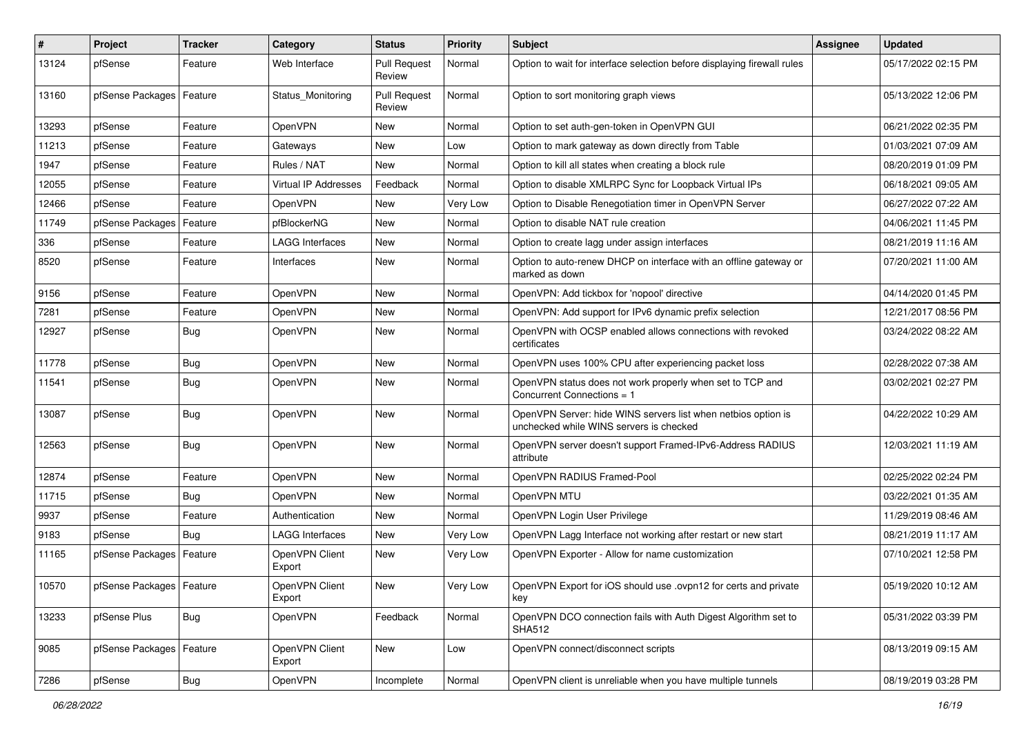| #     | Project                    | <b>Tracker</b> | Category                 | <b>Status</b>                 | <b>Priority</b> | <b>Subject</b>                                                                                           | Assignee | <b>Updated</b>      |
|-------|----------------------------|----------------|--------------------------|-------------------------------|-----------------|----------------------------------------------------------------------------------------------------------|----------|---------------------|
| 13124 | pfSense                    | Feature        | Web Interface            | <b>Pull Request</b><br>Review | Normal          | Option to wait for interface selection before displaying firewall rules                                  |          | 05/17/2022 02:15 PM |
| 13160 | pfSense Packages           | Feature        | Status Monitoring        | <b>Pull Request</b><br>Review | Normal          | Option to sort monitoring graph views                                                                    |          | 05/13/2022 12:06 PM |
| 13293 | pfSense                    | Feature        | OpenVPN                  | New                           | Normal          | Option to set auth-gen-token in OpenVPN GUI                                                              |          | 06/21/2022 02:35 PM |
| 11213 | pfSense                    | Feature        | Gateways                 | <b>New</b>                    | Low             | Option to mark gateway as down directly from Table                                                       |          | 01/03/2021 07:09 AM |
| 1947  | pfSense                    | Feature        | Rules / NAT              | <b>New</b>                    | Normal          | Option to kill all states when creating a block rule                                                     |          | 08/20/2019 01:09 PM |
| 12055 | pfSense                    | Feature        | Virtual IP Addresses     | Feedback                      | Normal          | Option to disable XMLRPC Sync for Loopback Virtual IPs                                                   |          | 06/18/2021 09:05 AM |
| 12466 | pfSense                    | Feature        | OpenVPN                  | <b>New</b>                    | Very Low        | Option to Disable Renegotiation timer in OpenVPN Server                                                  |          | 06/27/2022 07:22 AM |
| 11749 | pfSense Packages           | Feature        | pfBlockerNG              | New                           | Normal          | Option to disable NAT rule creation                                                                      |          | 04/06/2021 11:45 PM |
| 336   | pfSense                    | Feature        | <b>LAGG Interfaces</b>   | New                           | Normal          | Option to create lagg under assign interfaces                                                            |          | 08/21/2019 11:16 AM |
| 8520  | pfSense                    | Feature        | Interfaces               | New                           | Normal          | Option to auto-renew DHCP on interface with an offline gateway or<br>marked as down                      |          | 07/20/2021 11:00 AM |
| 9156  | pfSense                    | Feature        | OpenVPN                  | New                           | Normal          | OpenVPN: Add tickbox for 'nopool' directive                                                              |          | 04/14/2020 01:45 PM |
| 7281  | pfSense                    | Feature        | OpenVPN                  | New                           | Normal          | OpenVPN: Add support for IPv6 dynamic prefix selection                                                   |          | 12/21/2017 08:56 PM |
| 12927 | pfSense                    | Bug            | OpenVPN                  | New                           | Normal          | OpenVPN with OCSP enabled allows connections with revoked<br>certificates                                |          | 03/24/2022 08:22 AM |
| 11778 | pfSense                    | <b>Bug</b>     | OpenVPN                  | New                           | Normal          | OpenVPN uses 100% CPU after experiencing packet loss                                                     |          | 02/28/2022 07:38 AM |
| 11541 | pfSense                    | Bug            | OpenVPN                  | New                           | Normal          | OpenVPN status does not work properly when set to TCP and<br>Concurrent Connections = 1                  |          | 03/02/2021 02:27 PM |
| 13087 | pfSense                    | <b>Bug</b>     | OpenVPN                  | New                           | Normal          | OpenVPN Server: hide WINS servers list when netbios option is<br>unchecked while WINS servers is checked |          | 04/22/2022 10:29 AM |
| 12563 | pfSense                    | Bug            | OpenVPN                  | New                           | Normal          | OpenVPN server doesn't support Framed-IPv6-Address RADIUS<br>attribute                                   |          | 12/03/2021 11:19 AM |
| 12874 | pfSense                    | Feature        | OpenVPN                  | New                           | Normal          | OpenVPN RADIUS Framed-Pool                                                                               |          | 02/25/2022 02:24 PM |
| 11715 | pfSense                    | <b>Bug</b>     | OpenVPN                  | <b>New</b>                    | Normal          | OpenVPN MTU                                                                                              |          | 03/22/2021 01:35 AM |
| 9937  | pfSense                    | Feature        | Authentication           | New                           | Normal          | OpenVPN Login User Privilege                                                                             |          | 11/29/2019 08:46 AM |
| 9183  | pfSense                    | <b>Bug</b>     | LAGG Interfaces          | <b>New</b>                    | Very Low        | OpenVPN Lagg Interface not working after restart or new start                                            |          | 08/21/2019 11:17 AM |
| 11165 | pfSense Packages           | Feature        | OpenVPN Client<br>Export | New                           | Very Low        | OpenVPN Exporter - Allow for name customization                                                          |          | 07/10/2021 12:58 PM |
| 10570 | pfSense Packages   Feature |                | OpenVPN Client<br>Export | New                           | Very Low        | OpenVPN Export for iOS should use .ovpn12 for certs and private<br>key                                   |          | 05/19/2020 10:12 AM |
| 13233 | pfSense Plus               | Bug            | OpenVPN                  | Feedback                      | Normal          | OpenVPN DCO connection fails with Auth Digest Algorithm set to<br><b>SHA512</b>                          |          | 05/31/2022 03:39 PM |
| 9085  | pfSense Packages           | Feature        | OpenVPN Client<br>Export | New                           | Low             | OpenVPN connect/disconnect scripts                                                                       |          | 08/13/2019 09:15 AM |
| 7286  | pfSense                    | <b>Bug</b>     | OpenVPN                  | Incomplete                    | Normal          | OpenVPN client is unreliable when you have multiple tunnels                                              |          | 08/19/2019 03:28 PM |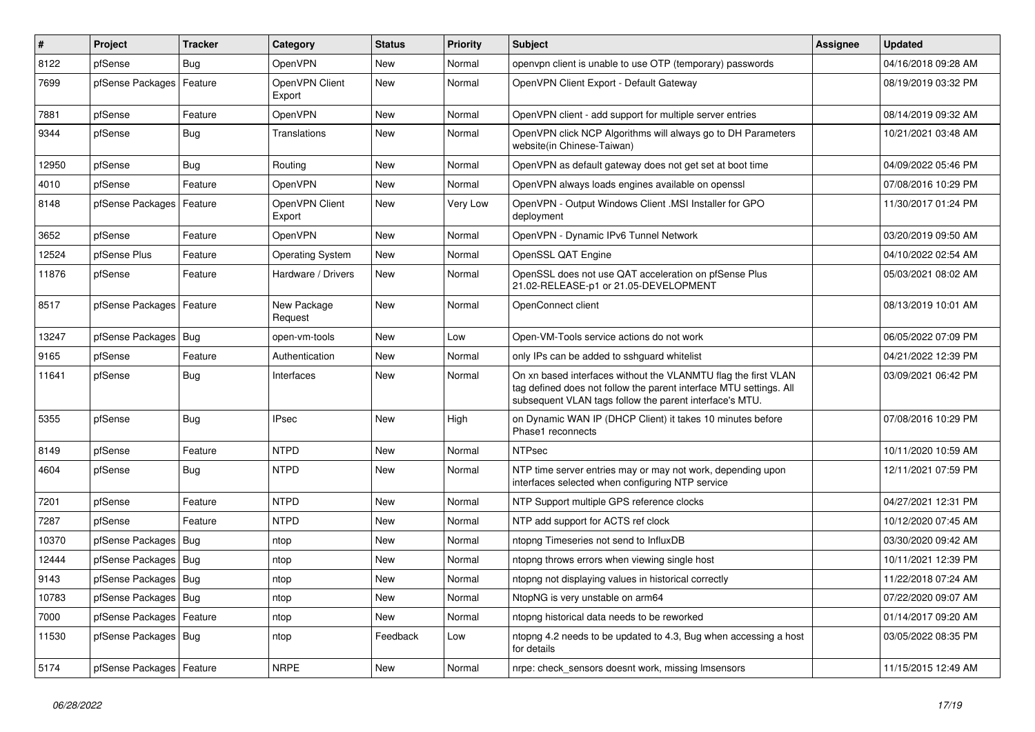| $\pmb{\#}$ | Project                    | <b>Tracker</b> | Category                 | <b>Status</b> | <b>Priority</b> | <b>Subject</b>                                                                                                                                                                                  | Assignee | <b>Updated</b>      |
|------------|----------------------------|----------------|--------------------------|---------------|-----------------|-------------------------------------------------------------------------------------------------------------------------------------------------------------------------------------------------|----------|---------------------|
| 8122       | pfSense                    | <b>Bug</b>     | OpenVPN                  | <b>New</b>    | Normal          | openypn client is unable to use OTP (temporary) passwords                                                                                                                                       |          | 04/16/2018 09:28 AM |
| 7699       | pfSense Packages           | Feature        | OpenVPN Client<br>Export | <b>New</b>    | Normal          | OpenVPN Client Export - Default Gateway                                                                                                                                                         |          | 08/19/2019 03:32 PM |
| 7881       | pfSense                    | Feature        | OpenVPN                  | <b>New</b>    | Normal          | OpenVPN client - add support for multiple server entries                                                                                                                                        |          | 08/14/2019 09:32 AM |
| 9344       | pfSense                    | <b>Bug</b>     | Translations             | New           | Normal          | OpenVPN click NCP Algorithms will always go to DH Parameters<br>website(in Chinese-Taiwan)                                                                                                      |          | 10/21/2021 03:48 AM |
| 12950      | pfSense                    | Bug            | Routing                  | <b>New</b>    | Normal          | OpenVPN as default gateway does not get set at boot time                                                                                                                                        |          | 04/09/2022 05:46 PM |
| 4010       | pfSense                    | Feature        | OpenVPN                  | <b>New</b>    | Normal          | OpenVPN always loads engines available on openssl                                                                                                                                               |          | 07/08/2016 10:29 PM |
| 8148       | pfSense Packages   Feature |                | OpenVPN Client<br>Export | New           | Very Low        | OpenVPN - Output Windows Client .MSI Installer for GPO<br>deployment                                                                                                                            |          | 11/30/2017 01:24 PM |
| 3652       | pfSense                    | Feature        | OpenVPN                  | <b>New</b>    | Normal          | OpenVPN - Dynamic IPv6 Tunnel Network                                                                                                                                                           |          | 03/20/2019 09:50 AM |
| 12524      | pfSense Plus               | Feature        | <b>Operating System</b>  | <b>New</b>    | Normal          | OpenSSL QAT Engine                                                                                                                                                                              |          | 04/10/2022 02:54 AM |
| 11876      | pfSense                    | Feature        | Hardware / Drivers       | <b>New</b>    | Normal          | OpenSSL does not use QAT acceleration on pfSense Plus<br>21.02-RELEASE-p1 or 21.05-DEVELOPMENT                                                                                                  |          | 05/03/2021 08:02 AM |
| 8517       | pfSense Packages           | Feature        | New Package<br>Request   | <b>New</b>    | Normal          | OpenConnect client                                                                                                                                                                              |          | 08/13/2019 10:01 AM |
| 13247      | pfSense Packages           | Bug            | open-vm-tools            | <b>New</b>    | Low             | Open-VM-Tools service actions do not work                                                                                                                                                       |          | 06/05/2022 07:09 PM |
| 9165       | pfSense                    | Feature        | Authentication           | <b>New</b>    | Normal          | only IPs can be added to sshquard whitelist                                                                                                                                                     |          | 04/21/2022 12:39 PM |
| 11641      | pfSense                    | <b>Bug</b>     | Interfaces               | <b>New</b>    | Normal          | On xn based interfaces without the VLANMTU flag the first VLAN<br>tag defined does not follow the parent interface MTU settings. All<br>subsequent VLAN tags follow the parent interface's MTU. |          | 03/09/2021 06:42 PM |
| 5355       | pfSense                    | Bug            | <b>IPsec</b>             | <b>New</b>    | High            | on Dynamic WAN IP (DHCP Client) it takes 10 minutes before<br>Phase1 reconnects                                                                                                                 |          | 07/08/2016 10:29 PM |
| 8149       | pfSense                    | Feature        | <b>NTPD</b>              | <b>New</b>    | Normal          | <b>NTPsec</b>                                                                                                                                                                                   |          | 10/11/2020 10:59 AM |
| 4604       | pfSense                    | <b>Bug</b>     | <b>NTPD</b>              | <b>New</b>    | Normal          | NTP time server entries may or may not work, depending upon<br>interfaces selected when configuring NTP service                                                                                 |          | 12/11/2021 07:59 PM |
| 7201       | pfSense                    | Feature        | <b>NTPD</b>              | New           | Normal          | NTP Support multiple GPS reference clocks                                                                                                                                                       |          | 04/27/2021 12:31 PM |
| 7287       | pfSense                    | Feature        | <b>NTPD</b>              | New           | Normal          | NTP add support for ACTS ref clock                                                                                                                                                              |          | 10/12/2020 07:45 AM |
| 10370      | pfSense Packages           | Bug            | ntop                     | New           | Normal          | ntopng Timeseries not send to InfluxDB                                                                                                                                                          |          | 03/30/2020 09:42 AM |
| 12444      | pfSense Packages           | Bug            | ntop                     | New           | Normal          | ntopng throws errors when viewing single host                                                                                                                                                   |          | 10/11/2021 12:39 PM |
| 9143       | pfSense Packages           | Bug            | ntop                     | New           | Normal          | ntopng not displaying values in historical correctly                                                                                                                                            |          | 11/22/2018 07:24 AM |
| 10783      | pfSense Packages           | Bug            | ntop                     | New           | Normal          | NtopNG is very unstable on arm64                                                                                                                                                                |          | 07/22/2020 09:07 AM |
| 7000       | pfSense Packages           | Feature        | ntop                     | New           | Normal          | ntopng historical data needs to be reworked                                                                                                                                                     |          | 01/14/2017 09:20 AM |
| 11530      | pfSense Packages   Bug     |                | ntop                     | Feedback      | Low             | ntopng 4.2 needs to be updated to 4.3, Bug when accessing a host<br>for details                                                                                                                 |          | 03/05/2022 08:35 PM |
| 5174       | pfSense Packages   Feature |                | <b>NRPE</b>              | New           | Normal          | nrpe: check sensors doesnt work, missing Imsensors                                                                                                                                              |          | 11/15/2015 12:49 AM |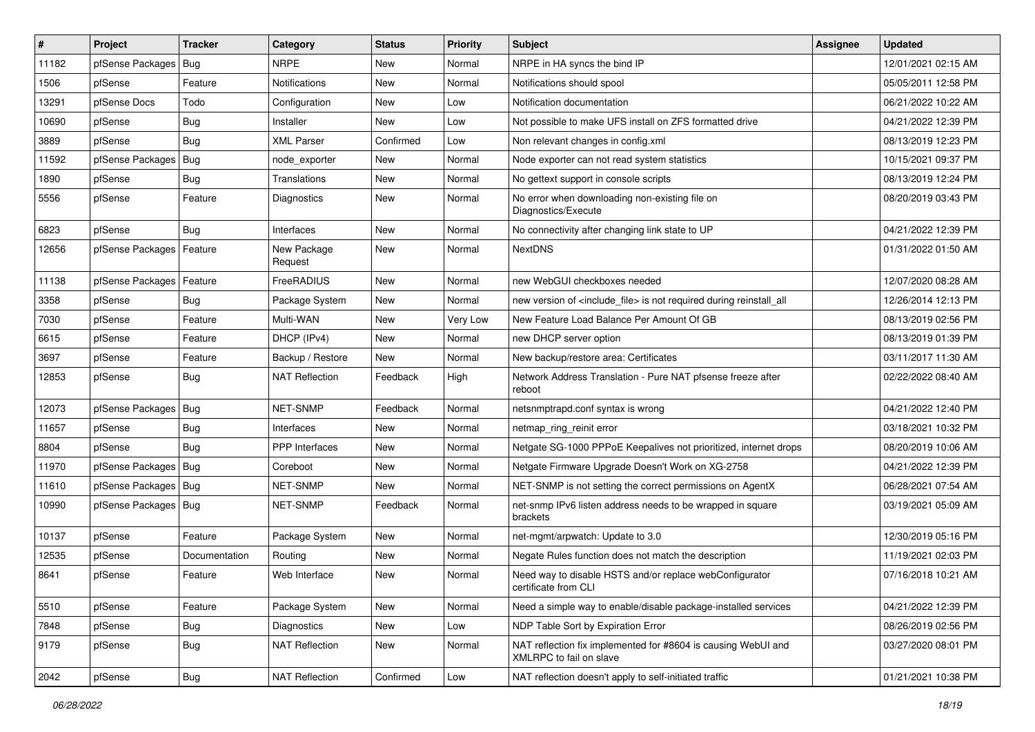| $\sharp$ | Project                | <b>Tracker</b> | Category               | <b>Status</b> | <b>Priority</b> | Subject                                                                                  | <b>Assignee</b> | <b>Updated</b>      |
|----------|------------------------|----------------|------------------------|---------------|-----------------|------------------------------------------------------------------------------------------|-----------------|---------------------|
| 11182    | pfSense Packages       | Bug            | <b>NRPE</b>            | New           | Normal          | NRPE in HA syncs the bind IP                                                             |                 | 12/01/2021 02:15 AM |
| 1506     | pfSense                | Feature        | Notifications          | New           | Normal          | Notifications should spool                                                               |                 | 05/05/2011 12:58 PM |
| 13291    | pfSense Docs           | Todo           | Configuration          | New           | Low             | Notification documentation                                                               |                 | 06/21/2022 10:22 AM |
| 10690    | pfSense                | <b>Bug</b>     | Installer              | New           | Low             | Not possible to make UFS install on ZFS formatted drive                                  |                 | 04/21/2022 12:39 PM |
| 3889     | pfSense                | Bug            | <b>XML Parser</b>      | Confirmed     | Low             | Non relevant changes in config.xml                                                       |                 | 08/13/2019 12:23 PM |
| 11592    | pfSense Packages       | <b>Bug</b>     | node exporter          | New           | Normal          | Node exporter can not read system statistics                                             |                 | 10/15/2021 09:37 PM |
| 1890     | pfSense                | <b>Bug</b>     | Translations           | New           | Normal          | No gettext support in console scripts                                                    |                 | 08/13/2019 12:24 PM |
| 5556     | pfSense                | Feature        | Diagnostics            | New           | Normal          | No error when downloading non-existing file on<br>Diagnostics/Execute                    |                 | 08/20/2019 03:43 PM |
| 6823     | pfSense                | <b>Bug</b>     | Interfaces             | <b>New</b>    | Normal          | No connectivity after changing link state to UP                                          |                 | 04/21/2022 12:39 PM |
| 12656    | pfSense Packages       | Feature        | New Package<br>Request | New           | Normal          | <b>NextDNS</b>                                                                           |                 | 01/31/2022 01:50 AM |
| 11138    | pfSense Packages       | Feature        | FreeRADIUS             | <b>New</b>    | Normal          | new WebGUI checkboxes needed                                                             |                 | 12/07/2020 08:28 AM |
| 3358     | pfSense                | Bug            | Package System         | New           | Normal          | new version of <include_file> is not required during reinstall_all</include_file>        |                 | 12/26/2014 12:13 PM |
| 7030     | pfSense                | Feature        | Multi-WAN              | New           | Very Low        | New Feature Load Balance Per Amount Of GB                                                |                 | 08/13/2019 02:56 PM |
| 6615     | pfSense                | Feature        | DHCP (IPv4)            | New           | Normal          | new DHCP server option                                                                   |                 | 08/13/2019 01:39 PM |
| 3697     | pfSense                | Feature        | Backup / Restore       | New           | Normal          | New backup/restore area: Certificates                                                    |                 | 03/11/2017 11:30 AM |
| 12853    | pfSense                | <b>Bug</b>     | <b>NAT Reflection</b>  | Feedback      | High            | Network Address Translation - Pure NAT pfsense freeze after<br>reboot                    |                 | 02/22/2022 08:40 AM |
| 12073    | pfSense Packages   Bug |                | <b>NET-SNMP</b>        | Feedback      | Normal          | netsnmptrapd.conf syntax is wrong                                                        |                 | 04/21/2022 12:40 PM |
| 11657    | pfSense                | Bug            | Interfaces             | New           | Normal          | netmap_ring_reinit error                                                                 |                 | 03/18/2021 10:32 PM |
| 8804     | pfSense                | Bug            | <b>PPP</b> Interfaces  | New           | Normal          | Netgate SG-1000 PPPoE Keepalives not prioritized, internet drops                         |                 | 08/20/2019 10:06 AM |
| 11970    | pfSense Packages   Bug |                | Coreboot               | New           | Normal          | Netgate Firmware Upgrade Doesn't Work on XG-2758                                         |                 | 04/21/2022 12:39 PM |
| 11610    | pfSense Packages       | Bug            | NET-SNMP               | New           | Normal          | NET-SNMP is not setting the correct permissions on AgentX                                |                 | 06/28/2021 07:54 AM |
| 10990    | pfSense Packages   Bug |                | NET-SNMP               | Feedback      | Normal          | net-snmp IPv6 listen address needs to be wrapped in square<br>brackets                   |                 | 03/19/2021 05:09 AM |
| 10137    | pfSense                | Feature        | Package System         | New           | Normal          | net-mgmt/arpwatch: Update to 3.0                                                         |                 | 12/30/2019 05:16 PM |
| 12535    | pfSense                | Documentation  | Routing                | New           | Normal          | Negate Rules function does not match the description                                     |                 | 11/19/2021 02:03 PM |
| 8641     | pfSense                | Feature        | Web Interface          | New           | Normal          | Need way to disable HSTS and/or replace webConfigurator<br>certificate from CLI          |                 | 07/16/2018 10:21 AM |
| 5510     | pfSense                | Feature        | Package System         | New           | Normal          | Need a simple way to enable/disable package-installed services                           |                 | 04/21/2022 12:39 PM |
| 7848     | pfSense                | <b>Bug</b>     | <b>Diagnostics</b>     | New           | Low             | NDP Table Sort by Expiration Error                                                       |                 | 08/26/2019 02:56 PM |
| 9179     | pfSense                | <b>Bug</b>     | <b>NAT Reflection</b>  | New           | Normal          | NAT reflection fix implemented for #8604 is causing WebUI and<br>XMLRPC to fail on slave |                 | 03/27/2020 08:01 PM |
| 2042     | pfSense                | <b>Bug</b>     | <b>NAT Reflection</b>  | Confirmed     | Low             | NAT reflection doesn't apply to self-initiated traffic                                   |                 | 01/21/2021 10:38 PM |